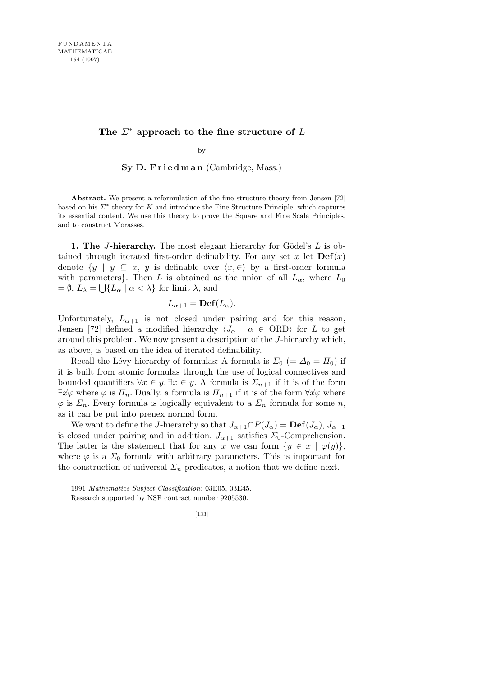## The  $\Sigma^*$  approach to the fine structure of  $L$

by

**Sy D. F r i e d m a n** (Cambridge, Mass.)

**Abstract.** We present a reformulation of the fine structure theory from Jensen [72] based on his  $\Sigma^*$  theory for *K* and introduce the Fine Structure Principle, which captures its essential content. We use this theory to prove the Square and Fine Scale Principles, and to construct Morasses.

**1. The** *J***-hierarchy.** The most elegant hierarchy for Gödel's L is obtained through iterated first-order definability. For any set  $x$  let  $\text{Def}(x)$ denote  $\{y \mid y \subseteq x, y \text{ is definable over } \langle x, \in \rangle \}$  by a first-order formula with parameters<sup>}</sup>. Then *L* is obtained as the union of all  $L_{\alpha}$ , where  $L_0$  $=$   $\emptyset$ ,  $L_{\lambda}$  =  $\bigcup$  { $L_{\alpha}$  |  $\alpha$  <  $\lambda$ } for limit  $\lambda$ , and

$$
L_{\alpha+1}=\mathbf{Def}(L_{\alpha}).
$$

Unfortunately,  $L_{\alpha+1}$  is not closed under pairing and for this reason, Jensen [72] defined a modified hierarchy  $\langle J_\alpha | \alpha \in \text{ORD} \rangle$  for *L* to get around this problem. We now present a description of the *J*-hierarchy which, as above, is based on the idea of iterated definability.

Recall the Lévy hierarchy of formulas: A formula is  $\Sigma_0$  (=  $\Delta_0 = \Pi_0$ ) if it is built from atomic formulas through the use of logical connectives and bounded quantifiers  $\forall x \in y, \exists x \in y$ . A formula is  $\Sigma_{n+1}$  if it is of the form  $\exists \vec{x} \varphi$  where  $\varphi$  is  $\Pi_n$ . Dually, a formula is  $\Pi_{n+1}$  if it is of the form  $\forall \vec{x} \varphi$  where  $\varphi$  is  $\Sigma_n$ . Every formula is logically equivalent to a  $\Sigma_n$  formula for some *n*, as it can be put into prenex normal form.

We want to define the *J*-hierarchy so that  $J_{\alpha+1} \cap P(J_\alpha) = \text{Def}(J_\alpha), J_{\alpha+1}$ is closed under pairing and in addition,  $J_{\alpha+1}$  satisfies  $\Sigma_0$ -Comprehension. The latter is the statement that for any *x* we can form  $\{y \in x \mid \varphi(y)\},\$ where  $\varphi$  is a  $\Sigma_0$  formula with arbitrary parameters. This is important for the construction of universal  $\Sigma_n$  predicates, a notion that we define next.

<sup>1991</sup> *Mathematics Subject Classification*: 03E05, 03E45.

Research supported by NSF contract number 9205530.

<sup>[133]</sup>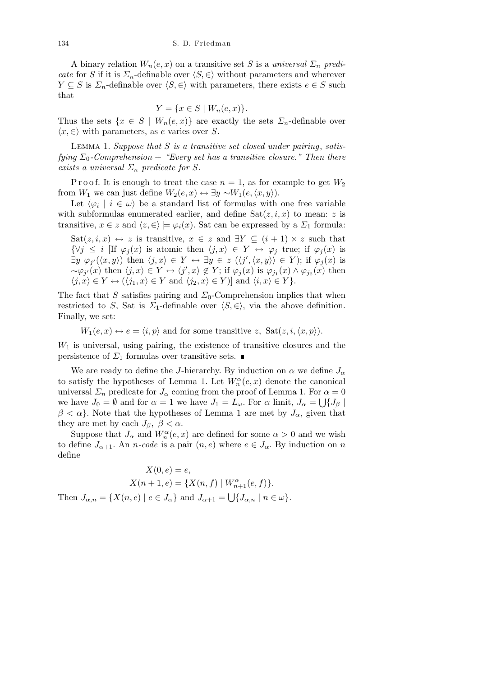A binary relation  $W_n(e, x)$  on a transitive set *S* is a *universal*  $\Sigma_n$  *predicate* for *S* if it is  $\Sigma_n$ -definable over  $\langle S, \in \rangle$  without parameters and wherever *Y*  $\subseteq$  *S* is  $\Sigma_n$ -definable over  $\langle S, \in \rangle$  with parameters, there exists  $e \in S$  such that

$$
Y = \{ x \in S \mid W_n(e, x) \}.
$$

Thus the sets  $\{x \in S \mid W_n(e,x)\}\$  are exactly the sets  $\Sigma_n$ -definable over  $\langle x, \in \rangle$  with parameters, as *e* varies over *S*.

Lemma 1. *Suppose that S is a transitive set closed under pairing*, *satisfying*  $\Sigma_0$ -Comprehension + *"Every set has a transitive closure." Then there exists a universal*  $\Sigma_n$  *predicate for S.* 

P r o o f. It is enough to treat the case  $n = 1$ , as for example to get  $W_2$ from *W*<sub>1</sub> we can just define  $W_2(e, x) \leftrightarrow \exists y \sim W_1(e, \langle x, y \rangle)$ .

Let  $\langle \varphi_i \mid i \in \omega \rangle$  be a standard list of formulas with one free variable with subformulas enumerated earlier, and define  $\text{Sat}(z, i, x)$  to mean: *z* is transitive,  $x \in \mathbb{Z}$  and  $\langle z, \in \rangle \models \varphi_i(x)$ . Sat can be expressed by a  $\Sigma_1$  formula:

Sat $(z, i, x) \leftrightarrow z$  is transitive,  $x \in z$  and  $\exists Y \subseteq (i + 1) \times z$  such that *{* $\forall j \leq i$  [If  $\varphi_i(x)$  is atomic then  $\langle j, x \rangle \in Y \leftrightarrow \varphi_j$  true; if  $\varphi_i(x)$  is  $\exists y \ \varphi_{j'}(\langle x, y \rangle)$  then  $\langle j, x \rangle \in Y \leftrightarrow \exists y \in z \ (\langle j', \langle x, y \rangle) \in Y);$  if  $\varphi_j(x)$  is  $\sim \varphi_{j'}(x)$  then  $\langle j, x \rangle \in Y \leftrightarrow \langle j', x \rangle \notin Y$ ; if  $\varphi_j(x)$  is  $\varphi_{j_1}(x) \wedge \varphi_{j_2}(x)$  then  $\langle j, x \rangle \in Y \leftrightarrow (\langle j_1, x \rangle \in Y \text{ and } \langle j_2, x \rangle \in Y)$ ] and  $\langle i, x \rangle \in Y$  }.

The fact that *S* satisfies pairing and  $\Sigma_0$ -Comprehension implies that when restricted to *S*, Sat is *Σ*<sub>1</sub>-definable over  $\langle S, \in \rangle$ , via the above definition. Finally, we set:

$$
W_1(e, x) \leftrightarrow e = \langle i, p \rangle
$$
 and for some transitive z,  $\text{Sat}(z, i, \langle x, p \rangle)$ .

*W*<sup>1</sup> is universal, using pairing, the existence of transitive closures and the persistence of  $Σ_1$  formulas over transitive sets. ■

We are ready to define the *J*-hierarchy. By induction on  $\alpha$  we define  $J_{\alpha}$ to satisfy the hypotheses of Lemma 1. Let  $W_n^{\alpha}(e, x)$  denote the canonical universal  $\Sigma_n$  predicate for  $J_\alpha$  coming from the proof of Lemma 1. For  $\alpha = 0$ we have  $J_0 = \emptyset$  and for  $\alpha = 1$  we have  $J_1 = L_\omega$ . For  $\alpha$  limit,  $J_\alpha = \bigcup \{J_\beta \mid \alpha \in \mathbb{N} \}$  $\beta < \alpha$ . Note that the hypotheses of Lemma 1 are met by  $J_{\alpha}$ , given that they are met by each  $J_\beta$ ,  $\beta < \alpha$ .

Suppose that  $J_{\alpha}$  and  $W_n^{\alpha}(e, x)$  are defined for some  $\alpha > 0$  and we wish to define  $J_{\alpha+1}$ . An *n*-code is a pair  $(n, e)$  where  $e \in J_{\alpha}$ . By induction on *n* define

$$
X(0, e) = e,
$$
  
\n
$$
X(n + 1, e) = \{X(n, f) | W_{n+1}^{\alpha}(e, f)\}.
$$
  
\nThen  $J_{\alpha, n} = \{X(n, e) | e \in J_{\alpha}\}\$  and  $J_{\alpha+1} = \bigcup \{J_{\alpha, n} | n \in \omega\}.$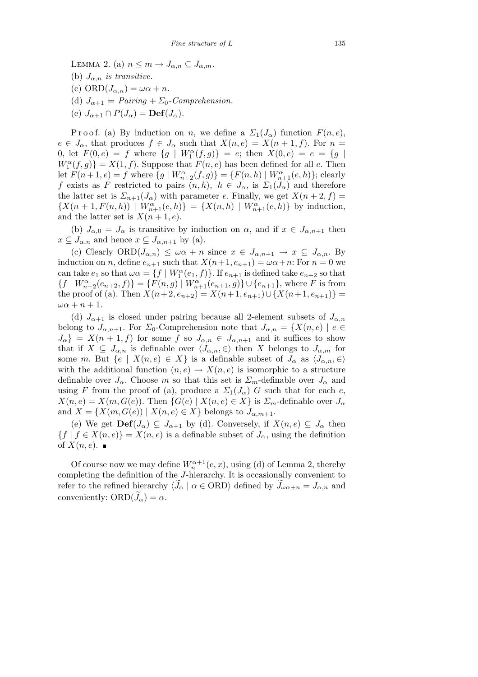LEMMA 2. (a)  $n \leq m \to J_{\alpha,n} \subseteq J_{\alpha,m}$ . (b)  $J_{\alpha,n}$  *is transitive.* (c)  $ORD(J_{\alpha,n}) = \omega \alpha + n$ . (d)  $J_{\alpha+1} \models Pairing + \Sigma_0$ -Comprehension. (e)  $J_{\alpha+1} \cap P(J_\alpha) = \text{Def}(J_\alpha)$ .

P r o o f. (a) By induction on *n*, we define a  $\Sigma_1(J_\alpha)$  function  $F(n, e)$ ,  $e \in J_\alpha$ , that produces  $f \in J_\alpha$  such that  $X(n, e) = X(n + 1, f)$ . For  $n =$ 0, let  $F(0, e) = f$  where  $\{g \mid W_1^{\alpha}(f, g)\} = e$ ; then  $X(0, e) = e = \{g \mid$  $W_1^{\alpha}(f,g)$ } = *X*(1*, f*). Suppose that *F*(*n, e*) has been defined for all *e*. Then let  $F(n+1, e) = f$  where  $\{g \mid W_{n+2}^{\alpha}(f, g)\} = \{F(n, h) \mid W_{n+1}^{\alpha}(e, h)\};$  clearly *f* exists as *F* restricted to pairs  $(n, h)$ ,  $h \in J_\alpha$ , is  $\Sigma_1(J_\alpha)$  and therefore the latter set is  $\Sigma_{n+1}(J_\alpha)$  with parameter *e*. Finally, we get  $X(n+2, f) =$  $\{X(n+1, F(n, h)) \mid W_{n+1}^{\alpha}(e, h)\} = \{X(n, h) \mid W_{n+1}^{\alpha}(e, h)\}$  by induction, and the latter set is  $X(n+1, e)$ .

(b)  $J_{\alpha,0} = J_{\alpha}$  is transitive by induction on  $\alpha$ , and if  $x \in J_{\alpha,n+1}$  then  $x \subseteq J_{\alpha,n}$  and hence  $x \subseteq J_{\alpha,n+1}$  by (a).

(c) Clearly  $\text{ORD}(J_{\alpha,n}) \leq \omega \alpha + n$  since  $x \in J_{\alpha,n+1} \to x \subseteq J_{\alpha,n}$ . By induction on *n*, define  $e_{n+1}$  such that  $X(n+1, e_{n+1}) = \omega \alpha + n$ : For  $n = 0$  we can take  $e_1$  so that  $\omega \alpha = \{ f \mid W_1^{\alpha}(e_1, f) \}$ . If  $e_{n+1}$  is defined take  $e_{n+2}$  so that  $\{f | W_{n+2}^{\alpha}(e_{n+2}, f)\} = \{F(n,g) | W_{n+1}^{\alpha}(e_{n+1}, g)\} \cup \{e_{n+1}\}\$ , where F is from the proof of (a). Then  $X(n+2, e_{n+2}) = X(n+1, e_{n+1}) \cup \{X(n+1, e_{n+1})\}$  $\omega \alpha + n + 1$ .

(d)  $J_{\alpha+1}$  is closed under pairing because all 2-element subsets of  $J_{\alpha,n}$ belong to  $J_{\alpha,n+1}$ . For  $\Sigma_0$ -Comprehension note that  $J_{\alpha,n} = \{X(n,e) \mid e \in$  $J_{\alpha}$ } = *X*(*n* + 1*, f*) for some *f* so  $J_{\alpha,n} \in J_{\alpha,n+1}$  and it suffices to show that if  $X \subseteq J_{\alpha,n}$  is definable over  $\langle J_{\alpha,n}, \in \rangle$  then X belongs to  $J_{\alpha,m}$  for some *m*. But  $\{e \mid X(n,e) \in X\}$  is a definable subset of  $J_{\alpha}$  as  $\langle J_{\alpha,n}, \in \rangle$ with the additional function  $(n, e) \rightarrow X(n, e)$  is isomorphic to a structure definable over  $J_{\alpha}$ . Choose *m* so that this set is  $\Sigma_m$ -definable over  $J_{\alpha}$  and using *F* from the proof of (a), produce a  $\Sigma_1(J_\alpha)$  *G* such that for each *e*,  $X(n, e) = X(m, G(e))$ . Then  $\{G(e) \mid X(n, e) \in X\}$  is  $\Sigma_m$ -definable over  $J_\alpha$ and  $X = \{X(m, G(e)) \mid X(n, e) \in X\}$  belongs to  $J_{\alpha, m+1}$ .

(e) We get  $\textbf{Def}(J_\alpha) \subseteq J_{\alpha+1}$  by (d). Conversely, if  $X(n, e) \subseteq J_\alpha$  then  ${f \mid f \in X(n, e)} = X(n, e)$  is a definable subset of  $J_\alpha$ , using the definition of  $X(n, e)$ .

Of course now we may define  $W_n^{\alpha+1}(e, x)$ , using (d) of Lemma 2, thereby completing the definition of the *J*-hierarchy. It is occasionally convenient to refer to the refined hierarchy  $\langle J_\alpha | \alpha \in \text{ORD} \rangle$  defined by  $J_{\omega \alpha+n} = J_{\alpha,n}$  and conveniently:  $ORD(\tilde{J}_{\alpha}) = \alpha$ .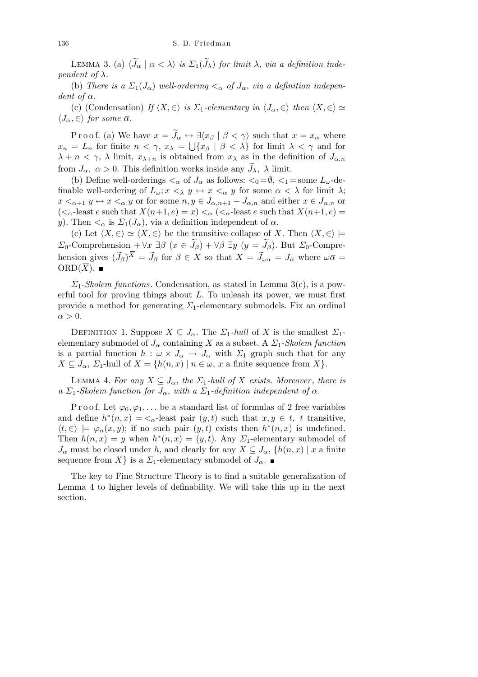LEMMA 3. (a)  $\langle \tilde{J}_{\alpha} | \alpha \langle \lambda \rangle$  *is*  $\Sigma_1(\tilde{J}_{\lambda})$  *for limit*  $\lambda$ *, via a definition independent of*  $\lambda$ *.* 

(b) *There is a*  $\Sigma_1(J_\alpha)$  *well-ordering*  $\lt_\alpha$  *of*  $J_\alpha$ *, via a definition independent of*  $\alpha$ *.* 

(c) (Condensation) *If*  $\langle X, \in \rangle$  *is*  $\Sigma_1$ *-elementary in*  $\langle J_\alpha, \in \rangle$  *then*  $\langle X, \in \rangle \simeq$  $\langle J_{\bar{\alpha}}, \in \rangle$  *for some*  $\bar{\alpha}$ *.* 

Proof. (a) We have  $x = \widetilde{J}_{\alpha} \leftrightarrow \exists \langle x_{\beta} | \beta \langle \gamma \rangle$  such that  $x = x_{\alpha}$  where  $x_n = L_n$  for finite  $n < \gamma$ ,  $x_\lambda = \bigcup \{x_\beta \mid \beta < \lambda\}$  for limit  $\lambda < \gamma$  and for *λ* + *n* < γ, *λ* limit,  $x_{λ+n}$  is obtained from  $x_{λ}$  as in the definition of  $J_{α,n}$ from  $J_{\alpha}$ ,  $\alpha > 0$ . This definition works inside any  $\widetilde{J}_{\lambda}$ ,  $\lambda$  limit.

(b) Define well-orderings  $\lt_{\alpha}$  of  $J_{\alpha}$  as follows:  $\lt_0 = \emptyset$ ,  $\lt_1 =$ some  $L_{\omega}$ -definable well-ordering of  $L_{\omega}$ ;  $x \leq_{\lambda} y \leftrightarrow x \leq_{\alpha} y$  for some  $\alpha \leq \lambda$  for limit  $\lambda$ ;  $x <_{\alpha+1} y \leftrightarrow x <_{\alpha} y$  or for some  $n, y \in J_{\alpha,n+1} - J_{\alpha,n}$  and either  $x \in J_{\alpha,n}$  or  $(<_{\alpha}$  -least  $e$  such that  $X(n+1,e)=x)<_{\alpha}(<_{\alpha}$  -least  $e$  such that  $X(n+1,e)=x$ *y*). Then  $\lt_{\alpha}$  is  $\Sigma_1(J_{\alpha})$ , via a definition independent of  $\alpha$ .

(c) Let  $\langle X, \in \rangle \simeq \langle \overline{X}, \in \rangle$  be the transitive collapse of *X*. Then  $\langle \overline{X}, \in \rangle \models$ *Σ*<sub>0</sub>-Comprehension + *∀x ∃* $β$  (*x*  $∈$   $\widetilde{J}_β$ ) + *∀* $β$  *∃y* (*y* =  $\widetilde{J}_β$ ). But *Σ*<sub>0</sub>-Comprehension gives  $(\widetilde{J}_{\beta})^{\overline{X}} = \widetilde{J}_{\beta}$  for  $\beta \in \overline{X}$  so that  $\overline{X} = \widetilde{J}_{\omega \bar{\alpha}} = J_{\bar{\alpha}}$  where  $\omega \bar{\alpha} =$ ORD $(\overline{X})$ .

*Σ*1-*Skolem functions*. Condensation, as stated in Lemma 3(c), is a powerful tool for proving things about *L*. To unleash its power, we must first provide a method for generating *Σ*1-elementary submodels. Fix an ordinal  $\alpha > 0$ .

DEFINITION 1. Suppose  $X \subseteq J_\alpha$ . The  $\Sigma_1$ -hull of X is the smallest  $\Sigma_1$ elementary submodel of  $J_\alpha$  containing *X* as a subset. A  $\Sigma_1$ -*Skolem function* is a partial function  $h : \omega \times J_\alpha \to J_\alpha$  with  $\Sigma_1$  graph such that for any  $X \subseteq J_\alpha$ ,  $\Sigma_1$ -hull of  $X = \{h(n,x) \mid n \in \omega, x$  a finite sequence from  $X\}$ .

LEMMA 4. For any  $X \subseteq J_\alpha$ , the  $\Sigma_1$ -hull of X exists. Moreover, there is *a*  $\Sigma_1$ -Skolem function for  $J_\alpha$ , with a  $\Sigma_1$ -definition independent of  $\alpha$ .

P r o o f. Let  $\varphi_0, \varphi_1, \ldots$  be a standard list of formulas of 2 free variables and define  $h^*(n, x) = \langle \alpha \rangle$ -least pair  $(y, t)$  such that  $x, y \in t$ , t transitive,  $\langle t, \in \rangle \models \varphi_n(x, y)$ ; if no such pair  $(y, t)$  exists then  $h^*(n, x)$  is undefined. Then  $h(n, x) = y$  when  $h^*(n, x) = (y, t)$ . Any  $\Sigma_1$ -elementary submodel of *J*<sup>α</sup> must be closed under *h*, and clearly for any  $X \subseteq J_\alpha$ ,  $\{h(n,x) \mid x \text{ a finite}\}$ sequence from *X*<sup>}</sup> is a *Σ*<sub>1</sub>-elementary submodel of  $J_{\alpha}$ .

The key to Fine Structure Theory is to find a suitable generalization of Lemma 4 to higher levels of definability. We will take this up in the next section.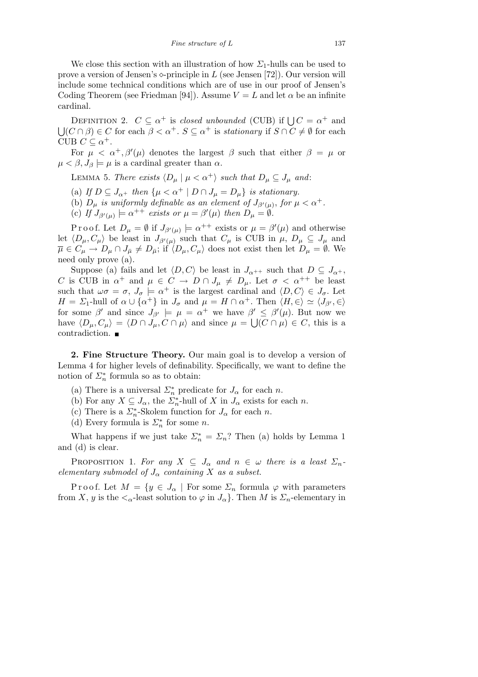We close this section with an illustration of how  $\Sigma_1$ -hulls can be used to prove a version of Jensen's  $\Diamond$ -principle in *L* (see Jensen [72]). Our version will include some technical conditions which are of use in our proof of Jensen's Coding Theorem (see Friedman [94]). Assume  $V = L$  and let  $\alpha$  be an infinite cardinal.

DEFINITION 2.  $C \subseteq \alpha^+$  is *closed unbounded* (CUB) if  $\bigcup C = \alpha^+$  and  $\bigcup (C \cap \beta) \in C$  for each  $\beta < \alpha^+$ .  $S \subseteq \alpha^+$  is *stationary* if  $S \cap C \neq \emptyset$  for each  $\beta < \alpha^+$ . CUB  $C \subseteq \alpha^+$ .

For  $\mu < \alpha^+$ ,  $\beta'(\mu)$  denotes the largest  $\beta$  such that either  $\beta = \mu$  or  $\mu < \beta, J_\beta \models \mu$  is a cardinal greater than  $\alpha$ .

**LEMMA 5.** *There exists*  $\langle D_\mu | \mu \langle \alpha^+ \rangle$  *such that*  $D_\mu \subseteq J_\mu$  *and*:

- (a) *If*  $D \subseteq J_{\alpha+}$  *then*  $\{\mu < \alpha^{+} \mid D \cap J_{\mu} = D_{\mu}\}$  *is stationary.*
- (b)  $D_{\mu}$  *is uniformly definable as an element of*  $J_{\beta'(\mu)}$ , for  $\mu < \alpha^{+}$ .
- (c) If  $J_{\beta'(\mu)} \models \alpha^{++}$  exists or  $\mu = \beta'(\mu)$  then  $D_{\mu} = \emptyset$ .

Proof. Let  $D_{\mu} = \emptyset$  if  $J_{\beta'(\mu)} \models \alpha^{++}$  exists or  $\mu = \beta'(\mu)$  and otherwise let  $\langle D_\mu, C_\mu \rangle$  be least in  $J_{\beta'(\mu)}$  such that  $C_\mu$  is CUB in  $\mu$ ,  $D_\mu \subseteq J_\mu$  and  $\overline{\mu} \in C_{\mu} \to D_{\mu} \cap J_{\overline{\mu}} \neq D_{\overline{\mu}}$ ; if  $\langle D_{\mu}, C_{\mu} \rangle$  does not exist then let  $D_{\mu} = \emptyset$ . We need only prove (a).

Suppose (a) fails and let  $\langle D, C \rangle$  be least in  $J_{\alpha^{++}}$  such that  $D \subseteq J_{\alpha^{+}}$ , *C* is CUB in  $\alpha^+$  and  $\mu \in C \rightarrow D \cap J_\mu \neq D_\mu$ . Let  $\sigma < \alpha^{++}$  be least such that  $\omega \sigma = \sigma$ ,  $J_{\sigma} \models \alpha^{+}$  is the largest cardinal and  $\langle D, C \rangle \in J_{\sigma}$ . Let *H* = *Σ*<sub>1</sub>-hull of  $\alpha \cup {\alpha^{+}}$  in  $J_{\sigma}$  and  $\mu = H \cap {\alpha^{+}}$ . Then  $\langle H, \in \rangle \simeq \langle J_{\beta'}, \in \rangle$ for some  $\beta'$  and since  $J_{\beta'} \models \mu = \alpha^+$  we have  $\beta' \leq \beta'(\mu)$ . But now we have  $\langle D_\mu, C_\mu \rangle = \langle D \cap J_\mu, C \cap \mu \rangle$  and since  $\mu = \bigcup (C \cap \mu) \in C$ , this is a contradiction.

**2. Fine Structure Theory.** Our main goal is to develop a version of Lemma 4 for higher levels of definability. Specifically, we want to define the notion of  $\mathcal{L}_n^*$  formula so as to obtain:

- (a) There is a universal  $\Sigma_n^*$  predicate for  $J_\alpha$  for each *n*.
- (b) For any  $X \subseteq J_\alpha$ , the  $\sum_{n=1}^{\infty}$ -hull of  $X$  in  $J_\alpha$  exists for each *n*.
- (c) There is a  $\Sigma_n^*$ -Skolem function for  $J_\alpha$  for each *n*.
- (d) Every formula is  $\Sigma_n^*$  for some *n*.

What happens if we just take  $\Sigma_n^* = \Sigma_n$ ? Then (a) holds by Lemma 1 and (d) is clear.

PROPOSITION 1. For any  $X \subseteq J_\alpha$  and  $n \in \omega$  there is a least  $\Sigma_n$ *elementary submodel of*  $J_\alpha$  *containing*  $X$  *as a subset.* 

Proof. Let  $M = \{y \in J_\alpha \mid \text{For some } \Sigma_n \text{ formula } \varphi \text{ with parameters } \varphi$ from *X*, *y* is the  $\lt_{\alpha}$ -least solution to  $\varphi$  in  $J_{\alpha}$ . Then *M* is  $\Sigma_n$ -elementary in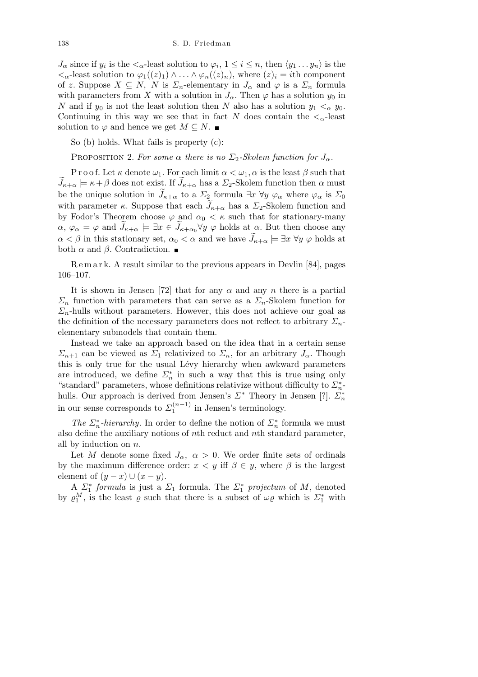$J_{\alpha}$  since if  $y_i$  is the  $\lt_{\alpha}$ -least solution to  $\varphi_i$ ,  $1 \leq i \leq n$ , then  $\langle y_1 \ldots y_n \rangle$  is the  $\langle \langle \alpha \rangle$ -least solution to  $\varphi_1((z)_1) \wedge \ldots \wedge \varphi_n((z)_n)$ , where  $(z)_i = i$ th component of *z*. Suppose  $X \subseteq N$ , N is  $\Sigma_n$ -elementary in  $J_\alpha$  and  $\varphi$  is a  $\Sigma_n$  formula with parameters from *X* with a solution in  $J_{\alpha}$ . Then  $\varphi$  has a solution  $y_0$  in *N* and if  $y_0$  is not the least solution then *N* also has a solution  $y_1 <_{\alpha} y_0$ . Continuing in this way we see that in fact *N* does contain the  $\lt_{\alpha}$ -least solution to  $\varphi$  and hence we get  $M \subseteq N$ .

So (b) holds. What fails is property (c):

PROPOSITION 2. For some  $\alpha$  there is no  $\Sigma_2$ -Skolem function for  $J_{\alpha}$ .

P r o o f. Let  $\kappa$  denote  $\omega_1$ . For each limit  $\alpha < \omega_1$ ,  $\alpha$  is the least  $\beta$  such that  $J_{\kappa+\alpha} \models \kappa+\beta$  does not exist. If  $J_{\kappa+\alpha}$  has a  $\Sigma_2$ -Skolem function then  $\alpha$  must be the unique solution in  $J_{\kappa+\alpha}$  to a  $\Sigma_2$  formula  $\exists x \ \forall y \ \varphi_\alpha$  where  $\varphi_\alpha$  is  $\Sigma_0$ with parameter *κ*. Suppose that each  $J_{\kappa+\alpha}$  has a  $\Sigma_2$ -Skolem function and by Fodor's Theorem choose  $\varphi$  and  $\alpha_0 < \kappa$  such that for stationary-many  $\alpha, \varphi_{\alpha} = \varphi$  and  $J_{\kappa+\alpha} \models \exists x \in J_{\kappa+\alpha_0}$   $\forall y \varphi$  holds at  $\alpha$ . But then choose any  $\alpha < \beta$  in this stationary set,  $\alpha_0 < \alpha$  and we have  $J_{\kappa+\alpha} \models \exists x \; \forall y \; \varphi$  holds at both  $\alpha$  and  $\beta$ . Contradiction.  $\blacksquare$ 

R e m a r k. A result similar to the previous appears in Devlin [84], pages 106–107.

It is shown in Jensen [72] that for any  $\alpha$  and any  $n$  there is a partial *Σ*<sup>*n*</sup> function with parameters that can serve as a  $Σ$ <sup>*n*</sup>-Skolem function for  $\Sigma_n$ -hulls without parameters. However, this does not achieve our goal as the definition of the necessary parameters does not reflect to arbitrary *Σn*elementary submodels that contain them.

Instead we take an approach based on the idea that in a certain sense *Σ*<sub>*n*+1</sub> can be viewed as *Σ*<sub>1</sub> relativized to *Σ*<sub>*n*</sub>, for an arbitrary *J*<sub>α</sub>. Though this is only true for the usual Lévy hierarchy when awkward parameters are introduced, we define  $\Sigma_n^*$  in such a way that this is true using only "standard" parameters, whose definitions relativize without difficulty to *Σ<sup>∗</sup> n*hulls. Our approach is derived from Jensen's *Σ<sup>∗</sup>* Theory in Jensen [?]. *Σ<sup>∗</sup> n* in our sense corresponds to  $\sum_{1}^{(n-1)}$  $i_1^{(n-1)}$  in Jensen's terminology.

*The*  $\Sigma_n^*$ *-hierarchy*. In order to define the notion of  $\Sigma_n^*$  formula we must also define the auxiliary notions of *n*th reduct and *n*th standard parameter, all by induction on *n*.

Let *M* denote some fixed  $J_{\alpha}$ ,  $\alpha > 0$ . We order finite sets of ordinals by the maximum difference order:  $x < y$  iff  $\beta \in y$ , where  $\beta$  is the largest element of  $(y - x) \cup (x - y)$ .

A  $\Sigma_1^*$  *formula* is just a  $\Sigma_1$  formula. The  $\Sigma_1^*$  projectum of M, denoted by  $\varrho_1^M$ , is the least  $\varrho$  such that there is a subset of  $\omega \varrho$  which is  $\Sigma_1^*$  with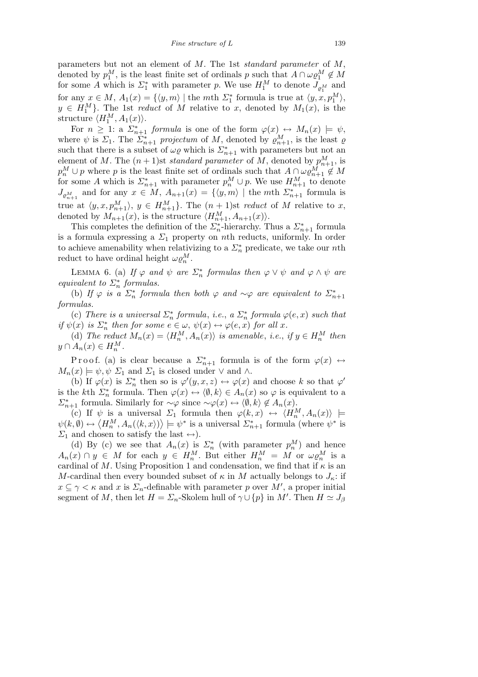parameters but not an element of *M*. The 1st *standard parameter* of *M*, denoted by  $p_1^M$ , is the least finite set of ordinals *p* such that  $A \cap \omega \varrho_1^M \notin M$ for some *A* which is  $\Sigma_1^*$  with parameter *p*. We use  $H_1^M$  to denote  $J_{\varrho_1^M}$  and for any  $x \in M$ ,  $A_1(x) = \{ \langle y, m \rangle \mid \text{the } m \text{th } \Sigma_1^* \text{ formula is true at } \langle y, x, p_1^M \rangle, \}$  $y \in H_1^M$ . The 1st *reduct* of *M* relative to *x*, denoted by  $M_1(x)$ , is the structure  $\langle H_1^M, A_1(x) \rangle$ .

For  $n \geq 1$ : a  $\sum_{n=1}^{\infty}$  *formula* is one of the form  $\varphi(x) \leftrightarrow M_n(x) \models \psi$ , where  $\psi$  is  $\Sigma_1$ . The  $\Sigma_{n+1}^*$  projectum of M, denoted by  $\varrho_{n+1}^M$ , is the least  $\varrho$ such that there is a subset of  $\omega \varrho$  which is  $\sum_{n=1}^{\infty}$  with parameters but not an element of *M*. The  $(n+1)$ st *standard parameter* of *M*, denoted by  $p_{n+1}^M$ , is  $p_n^M \cup p$  where *p* is the least finite set of ordinals such that  $A \cap \omega \varrho_{n+1}^M \notin M$ for some *A* which is  $\Sigma_{n+1}^*$  with parameter  $p_n^M \cup p$ . We use  $H_{n+1}^M$  to denote  $J_{\varrho_{n+1}^M}$  and for any  $x \in M$ ,  $A_{n+1}(x) = \{ \langle y, m \rangle \mid \text{the } m \text{th } \Sigma_{n+1}^* \text{ formula is} \}$ true at  $\langle y, x, p_{n+1}^M \rangle$ ,  $y \in H_{n+1}^M$ . The  $(n+1)$ st *reduct* of *M* relative to *x*, denoted by  $M_{n+1}(x)$ , is the structure  $\langle H_{n+1}^M, A_{n+1}(x) \rangle$ .

This completes the definition of the  $\sum_{n=1}^{\infty}$ -hierarchy. Thus a  $\sum_{n=1}^{\infty}$  formula is a formula expressing a  $\Sigma_1$  property on *n*th reducts, uniformly. In order to achieve amenability when relativizing to a  $\Sigma_n^*$  predicate, we take our *n*th reduct to have ordinal height  $\omega \varrho_n^M$ .

LEMMA 6. (a) If  $\varphi$  and  $\psi$  are  $\Sigma_n^*$  formulas then  $\varphi \vee \psi$  and  $\varphi \wedge \psi$  are *equivalent to*  $\Sigma_n^*$  *formulas.* 

(b) If  $\varphi$  *is a*  $\Sigma_n^*$  *formula then both*  $\varphi$  *and*  $\sim \varphi$  *are equivalent to*  $\Sigma_{n+1}^*$ *formulas.*

(c) *There is a universal*  $\Sigma_n^*$  *formula*, *i.e.*,  $a \Sigma_n^*$  *formula*  $\varphi(e, x)$  *such that if*  $\psi(x)$  *is*  $\Sigma_n^*$  *then for some*  $e \in \omega$ ,  $\psi(x) \leftrightarrow \varphi(e, x)$  *for all x.* 

(d) *The reduct*  $M_n(x) = \langle H_n^M, A_n(x) \rangle$  *is amenable, i.e., if*  $y \in H_n^M$  *then*  $y \cap A_n(x) \in H_n^M$ .

Proof. (a) is clear because a  $\mathcal{L}_{n+1}^*$  formula is of the form  $\varphi(x) \leftrightarrow$  $M_n(x) \models \psi, \psi \Sigma_1$  and  $\Sigma_1$  is closed under  $\vee$  and  $\wedge$ .

(b) If  $\varphi(x)$  is  $\sum_{n=1}^{\infty}$  then so is  $\varphi'(y, x, z) \leftrightarrow \varphi(x)$  and choose *k* so that  $\varphi'$ is the *k*th  $\sum_{n=1}^{\infty}$  formula. Then  $\varphi(x) \leftrightarrow \langle \emptyset, k \rangle \in A_n(x)$  so  $\varphi$  is equivalent to a *Σ*<sup>\*</sup><sub>*n*+1</sub> formula. Similarly for *∼* $\varphi$  since  $\sim \varphi(x) \leftrightarrow \langle \emptyset, k \rangle \notin A_n(x)$ .

(c) If  $\psi$  is a universal  $\Sigma_1$  formula then  $\varphi(k, x) \leftrightarrow \langle H_n^M, A_n(x) \rangle$  |=  $\langle \psi(k,\emptyset) \leftrightarrow \langle H_n^M, A_n(\langle k,x \rangle) \rangle \models \psi^*$  is a universal  $\sum_{n+1}^*$  formula (where  $\psi^*$  is *Σ*<sub>1</sub> and chosen to satisfy the last ↔).

(d) By (c) we see that  $A_n(x)$  is  $\sum_{n=1}^{\infty}$  (with parameter  $p_n^M$ ) and hence  $A_n(x) \cap y \in M$  for each  $y \in H_n^M$ . But either  $H_n^M = M$  or  $\omega \varrho_n^M$  is a cardinal of *M*. Using Proposition 1 and condensation, we find that if  $\kappa$  is an *M*-cardinal then every bounded subset of  $\kappa$  in *M* actually belongs to  $J_{\kappa}$ : if  $x \subseteq \gamma < \kappa$  and *x* is  $\Sigma_n$ -definable with parameter *p* over  $M'$ , a proper initial segment of *M*, then let  $H = \sum_{n}$ -Skolem hull of  $\gamma \cup \{p\}$  in *M'*. Then  $H \simeq J_{\beta}$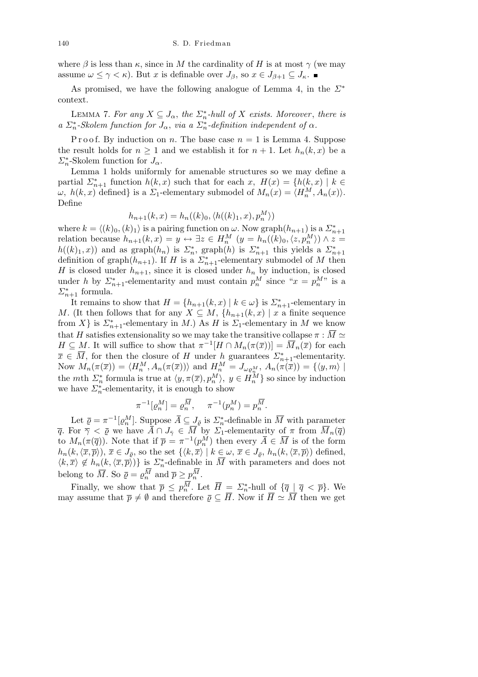where  $\beta$  is less than  $\kappa$ , since in M the cardinality of H is at most  $\gamma$  (we may assume  $\omega \leq \gamma < \kappa$ ). But *x* is definable over  $J_{\beta}$ , so  $x \in J_{\beta+1} \subseteq J_{\kappa}$ .

As promised, we have the following analogue of Lemma 4, in the *Σ<sup>∗</sup>* context.

LEMMA 7. For any  $X \subseteq J_\alpha$ , the  $\sum_{n=1}^{\infty}$ -hull of X exists. Moreover, there is *a*  $\sum_{n=1}^{\infty}$  *Skolem function for*  $J_{\alpha}$ , *via a*  $\sum_{n=1}^{\infty}$ *definition independent of*  $\alpha$ *.* 

P r o o f. By induction on *n*. The base case  $n = 1$  is Lemma 4. Suppose the result holds for  $n \geq 1$  and we establish it for  $n + 1$ . Let  $h_n(k, x)$  be a  $\sum_{n=0}^{\infty}$ -Skolem function for  $J_{\alpha}$ .

Lemma 1 holds uniformly for amenable structures so we may define a partial  $\Sigma_{n+1}^*$  function  $h(k, x)$  such that for each  $x$ ,  $H(x) = \{h(k, x) \mid k \in$ *ω*,  $h(k, x)$  defined} is a *Σ*<sub>1</sub>-elementary submodel of  $M_n(x) = \langle H_n^M, A_n(x) \rangle$ . Define

$$
h_{n+1}(k, x) = h_n((k)_0, \langle h((k)_1, x), p_n^M \rangle)
$$

where  $k = \langle (k)_0, (k)_1 \rangle$  is a pairing function on  $\omega$ . Now graph $(h_{n+1})$  is a  $\sum_{n=1}^{\infty}$ relation because  $h_{n+1}(k, x) = y \leftrightarrow \exists z \in H_n^M$   $(y = h_n(\langle k \rangle_0, \langle z, p_n^M \rangle) \wedge z =$  $h((k)_1, x)$  and as graph $(h_n)$  is  $\Sigma_n^*$ , graph $(h)$  is  $\Sigma_{n+1}^*$  this yields a  $\Sigma_{n+1}^*$ definition of graph $(h_{n+1})$ . If *H* is a  $\sum_{n=1}^{\infty}$ -elementary submodel of *M* then *H* is closed under  $h_{n+1}$ , since it is closed under  $h_n$  by induction, is closed under *h* by  $\sum_{n=1}^{\infty}$ -elementarity and must contain  $p_n^M$  since " $x = p_n^M$ " is a  $\Sigma_{n+1}^*$  formula.

It remains to show that  $H = \{h_{n+1}(k, x) \mid k \in \omega\}$  is  $\sum_{n+1}^*$ -elementary in *M*. (It then follows that for any  $X \subseteq M$ ,  $\{h_{n+1}(k, x) \mid x \text{ a finite sequence }$ from *X}* is  $\Sigma_{n+1}^*$ -elementary in *M*.) As *H* is  $\Sigma_1$ -elementary in *M* we know that *H* satisfies extensionality so we may take the transitive collapse  $\pi : \overline{M} \simeq$ *H*  $\subseteq$  *M*. It will suffice to show that  $\pi^{-1}[H \cap M_n(\pi(\overline{x}))] = \overline{M}_n(\overline{x})$  for each  $\overline{x} \in \overline{M}$ , for then the closure of *H* under *h* guarantees  $\sum_{n=1}^{*}$ -elementarity. Now  $M_n(\pi(\overline{x})) = \langle H_n^M, A_n(\pi(\overline{x})) \rangle$  and  $H_n^M = J_{\omega \rho_n^M}, A_n(\pi(\overline{x})) = \{ \langle y, m \rangle \mid$ the *m*th  $\Sigma_n^*$  formula is true at  $\langle y, \pi(\bar{x}), p_n^M \rangle$ ,  $y \in H_n^M$  so since by induction we have  $\Sigma_n^*$ -elementarity, it is enough to show

$$
\pi^{-1}[\varrho_n^M] = \varrho_n^{\overline{M}}, \quad \pi^{-1}(p_n^M) = p_n^{\overline{M}}.
$$

Let  $\bar{\varrho} = \pi^{-1} [\varrho_n^M]$ . Suppose  $\bar{A} \subseteq J_{\bar{\varrho}}$  is  $\sum_n^*$ -definable in  $\bar{M}$  with parameter *q*. For  $\overline{\gamma} < \overline{\varrho}$  we have  $\overline{\hat{A}} \cap J_{\overline{\gamma}} \in \overline{M}^{\epsilon}$  by  $\overline{\hat{Z}}_1$ -elementarity of  $\pi$  from  $\overline{M}_n(\overline{q})$ to  $M_n(\pi(\overline{q}))$ . Note that if  $\overline{p} = \pi^{-1}(p_n^M)$  then every  $\overline{A} \in \overline{M}$  is of the form  $h_n(k, \langle \overline{x}, \overline{p} \rangle), \overline{x} \in J_{\overline{\rho}},$  so the set  $\{ \langle k, \overline{x} \rangle \mid k \in \omega, \overline{x} \in J_{\overline{\rho}}, h_n(k, \langle \overline{x}, \overline{p} \rangle) \text{ defined},$  $\langle k, \overline{x} \rangle \notin h_n(k, \langle \overline{x}, \overline{p} \rangle)$  is  $\Sigma_n^*$ -definable in  $\overline{M}$  with parameters and does not belong to  $\overline{M}$ . So  $\overline{\varrho} = \varrho_n^M$  and  $\overline{p} \geq p_n^M$ .

Finally, we show that  $\overline{p} \leq p_n^M$ . Let  $\overline{H} = \sum_{n=1}^{\infty}$ -hull of  $\{\overline{q} \mid \overline{q} < \overline{p}\}$ . We may assume that  $\bar{p} \neq \emptyset$  and therefore  $\bar{\varrho} \subseteq \bar{H}$ . Now if  $\bar{H} \simeq \bar{M}$  then we get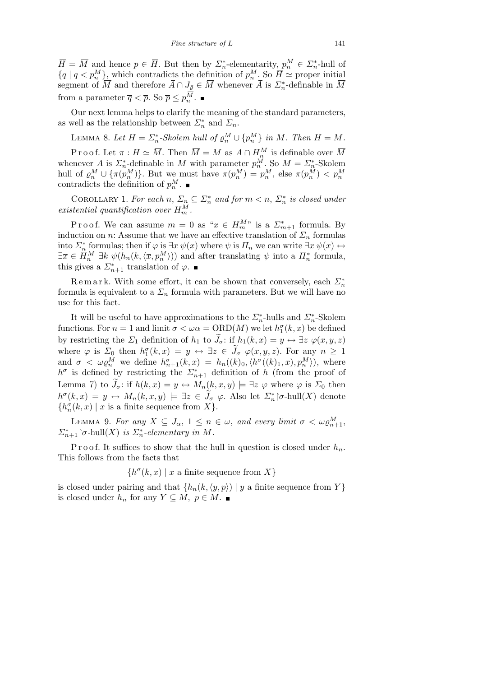$\overline{H} = \overline{M}$  and hence  $\overline{p} \in \overline{H}$ . But then by  $\sum_{n=0}^{\infty}$ -elementarity,  $p_n^M \in \sum_{n=0}^{\infty}$ -hull of  ${q \mid q \lt p_n^M}$ , which contradicts the definition of  $p_n^M$ . So  $\overline{H} \simeq$  proper initial segment of  $\overline{M}$  and therefore  $\overline{A} \cap J_{\overline{\varrho}} \in \overline{M}$  whenever  $\overline{A}$  is  $\sum_{n=0}^{\infty}$ -definable in  $\overline{M}$ from a parameter  $\overline{q} < \overline{p}$ . So  $\overline{p} \leq p_n^M$ .

Our next lemma helps to clarify the meaning of the standard parameters, as well as the relationship between  $\mathcal{L}_n^*$  and  $\mathcal{L}_n$ .

LEMMA 8. Let 
$$
H = \sum_{n=0}^{\infty} Skolem hull of \rho_n^M \cup \{p_n^M\}
$$
 in M. Then  $H = M$ .

Proof. Let  $\pi : H \simeq \overline{M}$ . Then  $\overline{M} = M$  as  $A \cap H_n^M$  is definable over  $\overline{M}$ whenever *A* is  $\sum_{n=1}^{\infty}$ -definable in *M* with parameter  $p_n^M$ . So  $M = \sum_{n=1}^{\infty}$ -Skolem hull of  $\rho_n^M \cup {\{\pi(p_n^M)\}}$ . But we must have  $\pi(p_n^M) = p_n^M$ , else  $\pi(p_n^M) < p_n^M$  contradicts the definition of  $p_n^M$ .

COROLLARY 1. *For each*  $n, \Sigma_n \subseteq \Sigma_n^*$  *and for*  $m < n, \Sigma_n^*$  *is closed under existential quantification over H<sup>M</sup> <sup>m</sup> .*

P r o o f. We can assume  $m = 0$  as " $x \in H_m^M$ " is a  $\sum_{m=1}^{\infty}$  formula. By induction on *n*: Assume that we have an effective translation of  $\Sigma_n$  formulas into  $\Sigma_n^*$  formulas; then if  $\varphi$  is  $\exists x \psi(x)$  where  $\psi$  is  $\Pi_n$  we can write  $\exists x \psi(x) \leftrightarrow$  $\exists \bar{x} \in H_n^M \exists k \ \psi(h_n(k, \langle \bar{x}, p_n^M \rangle))$  and after translating  $\psi$  into a  $\overline{H}_n^*$  formula, this gives a  $\Sigma_{n+1}^*$  translation of  $\varphi$ .

Remark. With some effort, it can be shown that conversely, each  $\mathcal{L}_n^*$ formula is equivalent to a  $\Sigma_n$  formula with parameters. But we will have no use for this fact.

It will be useful to have approximations to the  $\sum_{n=1}^{\infty}$ -hulls and  $\sum_{n=1}^{\infty}$ -Skolem functions. For  $n = 1$  and limit  $\sigma < \omega \alpha = \text{ORD}(M)$  we let  $h_1^{\sigma}(k, x)$  be defined by restricting the  $\Sigma_1$  definition of  $h_1$  to  $\tilde{J}_\sigma$ : if  $h_1(k, x) = y \leftrightarrow \exists z \varphi(x, y, z)$ where  $\varphi$  is  $\Sigma_0$  then  $h_1^{\sigma}(k, x) = y \leftrightarrow \exists z \in \tilde{J}_{\sigma}$   $\varphi(x, y, z)$ . For any  $n \geq 1$ and  $\sigma < \omega \varrho_n^M$  we define  $h_{n+1}^{\sigma}(k,x) = h_n((k)_0, \langle h^{\sigma}((k)_1, x), p_n^M \rangle)$ , where  $h^{\sigma}$  is defined by restricting the  $\Sigma_{n+1}^*$  definition of *h* (from the proof of Lemma 7) to  $J_{\sigma}$ : if  $h(k, x) = y \leftrightarrow M_n(k, x, y) \models \exists z \varphi$  where  $\varphi$  is  $\Sigma_0$  then  $h^{\sigma}(k, x) = y \leftrightarrow M_n(k, x, y) \models \exists z \in \widetilde{J}_{\sigma} \varphi$ . Also let  $\varSigma_n^*$   $\uparrow \sigma$ -hull $(X)$  denote  $\{h_n^{\sigma}(k, x) \mid x \text{ is a finite sequence from } X\}.$ 

LEMMA 9. For any  $X \subseteq J_\alpha$ ,  $1 \leq n \in \omega$ , and every limit  $\sigma < \omega \varrho_{n+1}^M$ ,  $\sum_{n=1}^{\infty}$   $\lceil \sigma \text{-hull}(X) \rceil$  *is*  $\sum_{n=1}^{\infty}$  *elementary in M*.

P r o o f. It suffices to show that the hull in question is closed under  $h_n$ . This follows from the facts that

 ${h^{\sigma}(k, x) \mid x \text{ a finite sequence from } X}$ 

is closed under pairing and that  $\{h_n(k, \langle y, p \rangle) \mid y$  a finite sequence from  $Y\}$ is closed under  $h_n$  for any  $Y \subseteq M$ ,  $p \in M$ . ■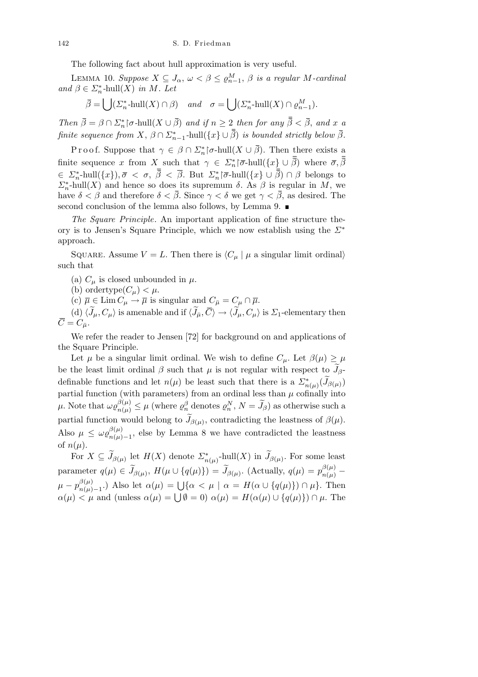The following fact about hull approximation is very useful.

LEMMA 10. *Suppose*  $X \subseteq J_\alpha$ ,  $\omega < \beta \leq \varrho_{n-1}^M$ ,  $\beta$  *is a regular M*-cardinal *and*  $\beta \in \Sigma_n^*$ -hull $(X)$  *in M. Let*  $\mathbf{r}$ 

$$
\overline{\beta} = \bigcup (\Sigma_n^* \text{-hull}(X) \cap \beta) \quad \text{and} \quad \sigma = \bigcup (\Sigma_n^* \text{-hull}(X) \cap \varrho_{n-1}^M).
$$

*Then*  $\bar{\beta} = \beta \cap \Sigma_n^*$   $[\sigma$$ -hull $(X \cup \bar{\beta})$  *and if*  $n \geq 2$  *then for any*  $\bar{\beta} < \bar{\beta}$ *, and x a finite sequence from*  $X$ ,  $\beta \cap \Sigma_{n-1}^*$ -hull $(\lbrace x \rbrace \cup \overline{\beta})$  *is bounded strictly below*  $\overline{\beta}$ *.* 

Proof. Suppose that  $\gamma \in \beta \cap \Sigma_n^*$   $\sigma$ -hull $(X \cup \overline{\beta})$ . Then there exists a finite sequence *x* from *X* such that  $\gamma \in \Sigma_n^* \setminus \overline{\sigma}$ -hull $(\lbrace x \rbrace \cup \overline{\beta})$  where  $\overline{\sigma}, \overline{\beta}$  $\in \Sigma_n^*$ -hull $(\{x\}), \bar{\sigma} < \sigma, \ \bar{\beta} < \bar{\beta}$ . But  $\Sigma_n^*$ | $\bar{\sigma}$ -hull $(\{x\} \cup \bar{\beta}) \cap \beta$  belongs to *Σ*<sup>\*</sup><sub>*n*</sub>-hull(*X*) and hence so does its supremum *δ*. As *β* is regular in *M*, we have  $\delta < \beta$  and therefore  $\delta < \overline{\beta}$ . Since  $\gamma < \delta$  we get  $\gamma < \overline{\beta}$ , as desired. The second conclusion of the lemma also follows, by Lemma 9.

*The Square Principle*. An important application of fine structure theory is to Jensen's Square Principle, which we now establish using the *Σ<sup>∗</sup>* approach.

SQUARE. Assume  $V = L$ . Then there is  $\langle C_u | \mu$  a singular limit ordinal) such that

- (a)  $C_{\mu}$  is closed unbounded in  $\mu$ .
- (b) ordertype $(C_\mu) < \mu$ .

(c)  $\bar{\mu} \in \text{Lim } C_{\mu} \to \bar{\mu}$  is singular and  $C_{\bar{\mu}} = C_{\mu} \cap \bar{\mu}$ .

(d)  $\langle \widetilde{J}_{\mu}, C_{\mu} \rangle$  is amenable and if  $\langle \widetilde{J}_{\bar{\mu}}, \overline{C} \rangle \rightarrow \langle \widetilde{J}_{\mu}, C_{\mu} \rangle$  is  $\Sigma_1$ -elementary then  $\overline{C} = C_{\overline{u}}$ .

We refer the reader to Jensen [72] for background on and applications of the Square Principle.

Let  $\mu$  be a singular limit ordinal. We wish to define  $C_{\mu}$ . Let  $\beta(\mu) \geq \mu$ be the least limit ordinal  $\beta$  such that  $\mu$  is not regular with respect to  $J_{\beta}$ definable functions and let  $n(\mu)$  be least such that there is a  $\sum_{n(\mu)}^{\ast}(\widetilde{J}_{\beta(\mu)})$ partial function (with parameters) from an ordinal less than  $\mu$  cofinally into  $\mu$ . Note that  $\omega \varrho_{n(\mu)}^{\beta(\mu)} \leq \mu$  (where  $\varrho_n^{\beta}$  denotes  $\varrho_n^N$ ,  $N = \widetilde{J}_{\beta}$ ) as otherwise such a partial function would belong to  $\widetilde{J}_{\beta(\mu)}$ , contradicting the leastness of  $\beta(\mu)$ . Also  $\mu \leq \omega \varrho_{n(\mu)}^{\beta(\mu)}$  $p(\mu)$ <sub>n</sub>( $\mu$ )<sub>−1</sub>, else by Lemma 8 we have contradicted the leastness of  $n(\mu)$ .

For  $X \subseteq \widetilde{J}_{\beta(\mu)}$  let  $H(X)$  denote  $\sum_{n(\mu)}^*$ -hull $(X)$  in  $\widetilde{J}_{\beta(\mu)}$ . For some least parameter  $q(\mu) \in \widetilde{J}_{\beta(\mu)}, H(\mu \cup \{q(\mu)\}) = \widetilde{J}_{\beta(\mu)}.$  (Actually,  $q(\mu) = p_{n(\mu)}^{\beta(\mu)}$  - $\mu - p_{n(\mu)}^{\beta(\mu)}$  $\mu - p_{n(\mu)-1}^{\beta(\mu)}$ .) Also let  $\alpha(\mu) = \bigcup \{ \alpha < \mu \mid \alpha = H(\alpha \cup \{q(\mu)\}) \cap \mu \}.$  Then<br>  $\alpha(\mu) < \mu$  and (unless  $\alpha(\mu) = \bigcup \emptyset = 0$ )  $\alpha(\mu) = H(\alpha(\mu) \cup \{q(\mu)\}) \cap \mu.$  Then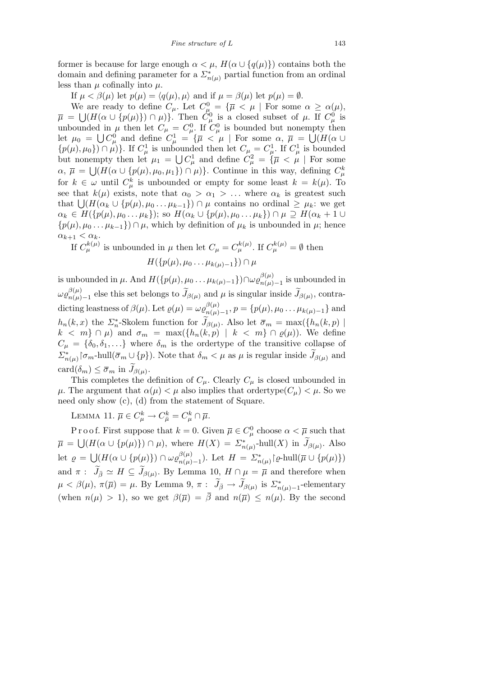former is because for large enough  $\alpha < \mu$ ,  $H(\alpha \cup \{q(\mu)\})$  contains both the domain and defining parameter for a  $\sum_{n(\mu)}^*$  partial function from an ordinal less than  $\mu$  cofinally into  $\mu$ .

If  $\mu < \beta(\mu)$  let  $p(\mu) = \langle q(\mu), \mu \rangle$  and if  $\mu = \beta(\mu)$  let  $p(\mu) = \emptyset$ .

We are ready to define  $C_{\mu}$ . Let  $C_{\mu}^{0} = {\overline{\mu} \lt \mu \mid \text{For some } \alpha \ge \alpha(\mu)}$ ,  $\bar{\mu}$  =  $\rm{e}$  .  $(H(\alpha \cup \{p(\mu)\}) \cap \mu)\}.$  Then  $C^0_\mu$  is a closed subset of  $\mu$ . If  $C^0_\mu$  is unbounded in  $\mu$  then let  $C_{\mu} = C_{\mu}^{0}$ . If  $C_{\mu}^{0}$  is bounded but nonempty then let  $\mu_0 =$  $\frac{1}{1}$ .  $C^0_\mu$  and define  $C^1_\mu = {\overline{\mu} \lt \mu \mid \text{For some } \alpha, \overline{\mu} =$ n<br>S (*H*(*α ∪*  $\{p(\mu), \mu_0\}$   $\cap \mu$ ) $\}$ . If  $C^1_\mu$  is unbounded then let  $C_\mu = C^1_\mu$ . If  $C^1_\mu$  is bounded but nonempty then let  $\mu_1 =$ oι<br>'' empty then let  $\mu_1 = \bigcup C_\mu^1$  and define  $C_\mu^2 = \{\overline{\mu} < \mu \mid \text{For some } \overline{\mu} \leq \overline{\mu} \leq \overline{\mu} \leq \overline{\mu} \leq \overline{\mu} \leq \overline{\mu} \leq \overline{\mu} \leq \overline{\mu} \leq \overline{\mu} \leq \overline{\mu} \leq \overline{\mu} \leq \overline{\mu} \leq \overline{\mu} \leq \overline{\mu} \leq \overline{\mu} \leq \overline{\mu} \leq \overline{\mu} \leq \$  $\alpha$ ,  $\bar{\mu} = \bigcup (H(\alpha \cup \{p(\mu), \mu_0, \mu_1\}) \cap \mu) \}$ . Continue in this way, defining  $C^k_{\mu}$ for  $k \in \omega$  until  $C_{\mu}^{k}$  is unbounded or empty for some least  $k = k(\mu)$ . To see that  $k(\mu)$  exists, note that  $\alpha_0 > \alpha_1 > \ldots$  where  $\alpha_k$  is greatest such that  $\bigcup (H(\alpha_k \cup \{p(\mu), \mu_0 \dots \mu_{k-1}\})) \cap \mu$  contains no ordinal  $\geq \mu_k$ : we get  $\alpha_k \in H(\{p(\mu), \mu_0 \ldots \mu_k\});$  so  $H(\alpha_k \cup \{p(\mu), \mu_0 \ldots \mu_k\}) \cap \mu \supseteq H(\alpha_k + 1 \cup$ *{p*( $\mu$ )*,*  $\mu$ 0 *. . .*  $\mu$ <sub>*k*</sub> –1</sub>}) ∩  $\mu$ *,* which by definition of  $\mu$ <sup>*k*</sup> is unbounded in  $\mu$ ; hence  $\alpha_{k+1} < \alpha_k$ .

If  $C_{\mu}^{k(\mu)}$  is unbounded in  $\mu$  then let  $C_{\mu} = C_{\mu}^{k(\mu)}$ . If  $C_{\mu}^{k(\mu)} = \emptyset$  then

$$
H(\{p(\mu), \mu_0 \ldots \mu_{k(\mu)-1}\}) \cap \mu
$$

is unbounded in  $\mu$ . And  $H(\{p(\mu), \mu_0 \dots \mu_{k(\mu)-1}\}) \cap \omega_{\mathcal{Q}_{n(\mu)}^{(\mu)}}$  $\binom{p(\mu)}{n(\mu)-1}$  is unbounded in  $\omega \varrho_{n(\mu)}^{\beta(\mu)}$  $\frac{\beta(\mu)}{n(\mu)-1}$  else this set belongs to  $\widetilde{J}_{\beta(\mu)}$  and  $\mu$  is singular inside  $\widetilde{J}_{\beta(\mu)}$ , contradicting leastness of  $\beta(\mu)$ . Let  $\varrho(\mu) = \omega \varrho_{n(\mu)}^{\beta(\mu)}$  $\{p(\mu)\}_n(\mu) - 1, p = \{p(\mu), \mu_0 \dots \mu_{k(\mu)-1}\}$  and *h*<sub>n</sub>(*k, x*) the *Σ*<sup>\*</sup><sub>*n*</sub></sub>-Skolem function for  $\widetilde{J}_{\beta(\mu)}$ . Also let  $\overline{\sigma}_m = \max(\{h_n(k,p) \mid$ *k* < *m}* ∩  $\mu$ ) and  $\sigma_m = \max({h_n(k, p) | k < m} \cap \varrho(\mu))$ . We define  $C_{\mu} = {\delta_0, \delta_1, \ldots}$  where  $\delta_m$  is the ordertype of the transitive collapse of  $\sum_{n(\mu)}^{\ast}$   $\lceil \sigma_m$ -hull( $\bar{\sigma}_m \cup \{p\}$ ). Note that  $\delta_m < \mu$  as  $\mu$  is regular inside  $\widetilde{J}_{\beta(\mu)}$  and  $card(\delta_m) \leq \overline{\sigma}_m$  in  $\widetilde{J}_{\beta(\mu)}$ .

This completes the definition of  $C_{\mu}$ . Clearly  $C_{\mu}$  is closed unbounded in *µ*. The argument that  $\alpha(\mu) < \mu$  also implies that ordertype( $C_{\mu}$ )  $< \mu$ . So we need only show (c), (d) from the statement of Square.

LEMMA 11.  $\overline{\mu} \in C_{\mu}^{k} \to C_{\overline{\mu}}^{k} = C_{\mu}^{k} \cap \overline{\mu}$ .

P r o o f. First suppose that  $k = 0$ . Given  $\overline{\mu} \in C^0_\mu$  choose  $\alpha < \overline{\mu}$  such that  $\bar{\mu} =$  $\bigcup (H(\alpha \cup \{p(\mu)\}) \cap \mu)$ , where  $H(X) = \sum_{n(\mu)}^*$ -hull $(X)$  in  $\widetilde{J}_{\beta(\mu)}$ . Also let  $\rho =$ S  $(H(\alpha \cup \{p(\mu)\}) \cap \omega \rho^{\beta(\mu)}_{n(\mu)})$ *n*(*µ*)–1). Let  $H = \sum_{n(\mu)}^* {\phi \in \text{hull}(\overline{\mu} \cup \{p(\mu)\})}$ and  $\pi$ :  $\widetilde{J}_{\bar{\beta}} \simeq H \subseteq \widetilde{J}_{\beta(\mu)}$ . By Lemma 10,  $H \cap \mu = \overline{\mu}$  and therefore when  $\mu < \beta(\mu)$ ,  $\pi(\overline{\mu}) = \mu$ . By Lemma 9,  $\pi$ :  $\widetilde{J}_{\overline{\beta}} \to \widetilde{J}_{\beta(\mu)}$  is  $\sum_{n(\mu)=1}^{*}$ -elementary (when  $n(\mu) > 1$ ), so we get  $\beta(\overline{\mu}) = \overline{\beta}$  and  $n(\overline{\mu}) \leq n(\mu)$ . By the second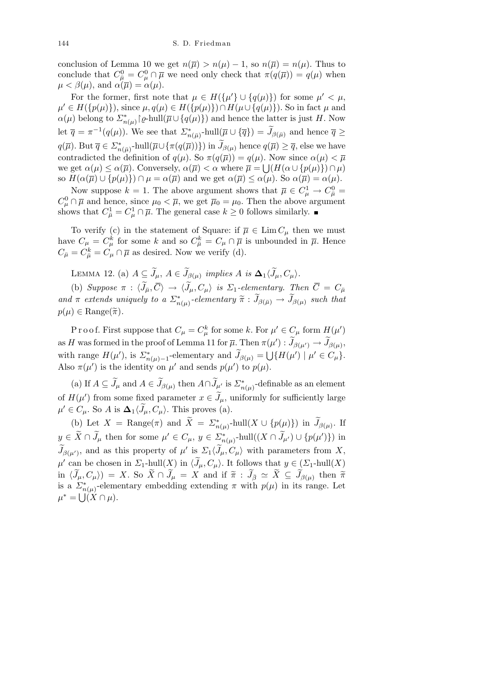conclusion of Lemma 10 we get  $n(\overline{\mu}) > n(\mu) - 1$ , so  $n(\overline{\mu}) = n(\mu)$ . Thus to conclude that  $C_{\bar{\mu}}^0 = C_{\mu}^0 \cap \bar{\mu}$  we need only check that  $\pi(q(\bar{\mu})) = q(\mu)$  when  $\mu < \beta(\mu)$ , and  $\alpha(\overline{\mu}) = \alpha(\mu)$ .

For the former, first note that  $\mu \in H(\{\mu'\} \cup \{q(\mu)\})$  for some  $\mu' < \mu$ ,  $\mu' \in H(\{p(\mu)\})$ , since  $\mu, q(\mu) \in H(\{p(\mu)\}) \cap H(\mu \cup \{q(\mu)\})$ . So in fact  $\mu$  and  $\alpha(\mu)$  belong to  $\sum_{n(\mu)}^*$  [ $\varrho$ -hull( $\overline{\mu} \cup \{q(\mu)\}\$ ) and hence the latter is just *H*. Now let  $\overline{q} = \pi^{-1}(q(\mu))$ . We see that  $\sum_{n(\overline{\mu})}^*$ -hull $(\overline{\mu} \cup {\overline{q}}) = \widetilde{J}_{\beta(\overline{\mu})}$  and hence  $\overline{q} \geq$  $q(\overline{\mu})$ . But  $\overline{q} \in \Sigma_{n(\overline{\mu})}^*$ -hull $(\overline{\mu} \cup {\{\pi(q(\overline{\mu}))\}})$  in  $\widetilde{J}_{\beta(\mu)}$  hence  $q(\overline{\mu}) \geq \overline{q}$ , else we have contradicted the definition of  $q(\mu)$ . So  $\pi(q(\overline{\mu})) = q(\mu)$ . Now since  $\alpha(\mu) < \overline{\mu}$ we get  $\alpha(\mu) \leq \alpha(\overline{\mu})$ . Conversely,  $\alpha(\overline{\mu}) < \alpha$  where  $\overline{\mu} = \bigcup (H(\alpha \cup \{p(\mu)\}) \cap \mu)$ so  $H(\alpha(\overline{\mu}) \cup \{p(\mu)\}) \cap \mu = \alpha(\overline{\mu})$  and we get  $\alpha(\overline{\mu}) \leq \alpha(\mu)$ . So  $\alpha(\overline{\mu}) = \alpha(\mu)$ .

Now suppose  $k = 1$ . The above argument shows that  $\overline{\mu} \in C^1_{\mu} \to C^0_{\overline{\mu}} =$  $C^0_\mu \cap \overline{\mu}$  and hence, since  $\mu_0 < \overline{\mu}$ , we get  $\overline{\mu}_0 = \mu_0$ . Then the above argument shows that  $C_{\bar{\mu}}^1 = C_{\mu}^1 \cap \bar{\mu}$ . The general case  $k \geq 0$  follows similarly.

To verify (c) in the statement of Square: if  $\overline{\mu} \in \text{Lim}\,C_{\mu}$  then we must have  $C_{\mu} = C_{\mu}^{k}$  for some *k* and so  $C_{\bar{\mu}}^{k} = C_{\mu} \cap \bar{\mu}$  is unbounded in  $\bar{\mu}$ . Hence  $C_{\bar{\mu}} = C_{\bar{\mu}}^k = C_{\mu} \cap \bar{\mu}$  as desired. Now we verify (d).

LEMMA 12. (a)  $A \subseteq \widetilde{J}_{\mu}, A \in \widetilde{J}_{\beta(\mu)}$  implies  $A$  is  $\Delta_1 \langle \widetilde{J}_{\mu}, C_{\mu} \rangle$ .

(b) *Suppose*  $\pi$  :  $\langle \widetilde{J}_\mu, \overline{C} \rangle \rightarrow \langle \widetilde{J}_\mu, C_\mu \rangle$  *is*  $\Sigma_1$ *-elementary. Then*  $\overline{C} = C_{\overline{\mu}}$  $and \pi$  *extends uniquely to a*  $\sum_{n(\mu)}^*$ -elementary  $\widetilde{\pi}$  :  $\widetilde{J}_{\beta(\bar{\mu})} \to \widetilde{J}_{\beta(\mu)}$  *such that*  $p(\mu) \in \text{Range}(\widetilde{\pi})$ .

Proof. First suppose that  $C_{\mu} = C_{\mu}^{k}$  for some *k*. For  $\mu' \in C_{\mu}$  form  $H(\mu')$ as *H* was formed in the proof of Lemma 11 for  $\overline{\mu}$ . Then  $\pi(\mu') : \widetilde{J}_{\beta(\mu')} \to \widetilde{J}_{\beta(\mu)}$ , with range  $H(\mu')$ , is  $\sum_{n(\mu)=1}^*$ -elementary and  $\widetilde{J}_{\beta(\mu)}=$  $\tilde{\mathcal{L}}$  ${H(\mu') | \mu' \in C_\mu}.$ Also  $\pi(\mu')$  is the identity on  $\mu'$  and sends  $p(\mu')$  to  $p(\mu)$ .

(a) If  $A \subseteq \tilde{J}_{\mu}$  and  $A \in \tilde{J}_{\beta(\mu)}$  then  $A \cap \tilde{J}_{\mu'}$  is  $\sum_{n(\mu)}^*$ -definable as an element of  $H(\mu')$  from some fixed parameter  $x \in \tilde{J}_{\mu}$ , uniformly for sufficiently large  $\mu' \in C_{\mu}$ . So *A* is  $\Delta_1 \langle \tilde{J}_{\mu}, C_{\mu} \rangle$ . This proves (a).

(b) Let  $X = \text{Range}(\pi)$  and  $\widetilde{X} = \sum_{n(\mu)}^* \text{hull}(X \cup \{p(\mu)\})$  in  $\widetilde{J}_{\beta(\mu)}$ . If  $y \in \widetilde{X} \cap \widetilde{J}_{\mu}$  then for some  $\mu' \in C_{\mu}$ ,  $y \in \Sigma_{n(\mu)}^*$ -hull $((X \cap \widetilde{J}_{\mu'}) \cup \{p(\mu')\})$  in  $\widetilde{J}_{\beta(\mu')}$ , and as this property of  $\mu'$  is  $\Sigma_1 \langle \widetilde{J}_\mu, C_\mu \rangle$  with parameters from X,  $\mu'$  can be chosen in *Σ*<sub>1</sub>-hull(*X*) in  $\langle \widetilde{J}_{\mu}, C_{\mu} \rangle$ . It follows that  $y \in (\Sigma_1\text{-hull}(X))$  $\mathrm{in} \,\,\langle \widetilde{J}_{\mu},C_{\mu}\rangle\big) \,=\, X. \,\,\mathrm{So} \,\,\widetilde{X}\cap \widetilde{J}_{\mu} \,=\, X\,\,\,\mathrm{and}\,\,\,\mathrm{if} \,\,\widetilde{\pi} \,:\, \widetilde{J}_{\bar{\beta}} \,\simeq\, \widetilde{X} \,\subseteq\, \widetilde{J}_{\beta(\mu)} \,\,\mathrm{then} \,\,\widetilde{\pi}$ is a  $\sum_{n}^{*}$  elementary embedding extending  $\pi$  with  $p(\mu)$  in its range. Let  $\mu^* = \bigcup (X \cap \mu).$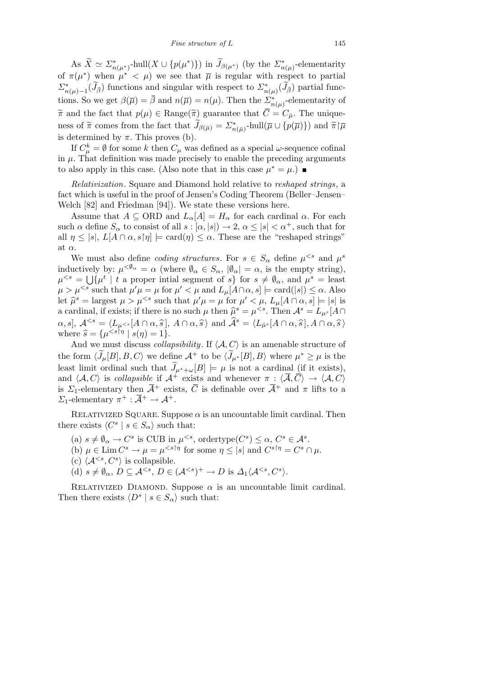As  $\widetilde{X} \simeq \Sigma_{n(\mu^*)}^*$ -hull $(X \cup \{p(\mu^*)\})$  in  $\widetilde{J}_{\beta(\mu^*)}$  (by the  $\Sigma_{n(\mu)}^*$ -elementarity of  $\pi(\mu^*)$  when  $\mu^* < \mu$ ) we see that  $\bar{\mu}$  is regular with respect to partial  $\sum_{n(\mu)=1}^{*}(\widetilde{J}_{\overline{\beta}})$  functions and singular with respect to  $\sum_{n(\mu)}^{*}(\widetilde{J}_{\overline{\beta}})$  partial functions. So we get  $\beta(\overline{\mu}) = \overline{\beta}$  and  $n(\overline{\mu}) = n(\mu)$ . Then the  $\sum_{n(\mu)}^*$ -elementarity of  $\tilde{\pi}$  and the fact that  $p(\mu) \in \text{Range}(\tilde{\pi})$  guarantee that  $\overline{C} = C_{\overline{\mu}}$ . The unique- $\sum_{n=1}^{\infty}$  *f*  $\pi$  comes from the fact that  $\widetilde{J}_{\beta(\bar{\mu})} = \sum_{n=1}^{\infty}$ -hull $(\bar{\mu} \cup \{p(\bar{\mu})\})$  and  $\widetilde{\pi} | \bar{\mu}$ is determined by  $\pi$ . This proves (b).

If  $C^k_\mu = \emptyset$  for some *k* then  $C_\mu$  was defined as a special *ω*-sequence cofinal in  $\mu$ . That definition was made precisely to enable the preceding arguments to also apply in this case. (Also note that in this case  $\mu^* = \mu$ .)

*Relativization*. Square and Diamond hold relative to *reshaped strings*, a fact which is useful in the proof of Jensen's Coding Theorem (Beller–Jensen– Welch [82] and Friedman [94]). We state these versions here.

Assume that  $A \subseteq \text{ORD}$  and  $L_{\alpha}[A] = H_{\alpha}$  for each cardinal  $\alpha$ . For each such  $\alpha$  define  $S_{\alpha}$  to consist of all  $s : [\alpha, |s|] \to 2$ ,  $\alpha \leq |s| < \alpha^+$ , such that for all  $\eta \leq |s|$ ,  $L[A \cap \alpha, s[\eta]] \models \text{card}(\eta) \leq \alpha$ . These are the "reshaped strings" at *α*.

We must also define *coding structures*. For  $s \in S_\alpha$  define  $\mu^{< s}$  and  $\mu^s$ inductively by:  $\mu^{<\emptyset_\alpha} = \alpha$  (where  $\emptyset_\alpha \in S_\alpha$ ,  $|\emptyset_\alpha| = \alpha$ , is the empty string),  $\mu^{< s} = \bigcup \{ \mu^t \mid t \text{ a proper initial segment of } s \}$  for  $s \neq \emptyset_\alpha$ , and  $\mu^s = \text{least}$  $\mu > \mu^{< s}$  such that  $\mu' \mu = \mu$  for  $\mu' < \mu$  and  $L_{\mu}[A \cap \alpha, s] \models \text{card}(|s|) \leq \alpha$ . Also let  $\hat{\mu}^s$  = largest  $\mu > \mu^{ such that  $\mu' \mu = \mu$  for  $\mu' < \mu$ ,  $L_\mu[A \cap \alpha, s] \models |s|$  is$ a cardinal, if exists; if there is no such  $\mu$  then  $\hat{\mu}^s = \mu^{. Then  $\mathcal{A}^s = L_{\mu^s}[A \cap$$  $[\alpha, s], \mathcal{A}^{< s} = \langle L_{\mu^{< s}}[A \cap \alpha, \widehat{s}], A \cap \alpha, \widehat{s} \rangle \text{ and } \widehat{\mathcal{A}}^s = \langle L_{\hat{\mu}^s}[A \cap \alpha, \widehat{s}], A \cap \alpha, \widehat{s} \rangle$ where  $\hat{s} = {\mu^{$ 

And we must discuss *collapsibility*. If  $\langle A, C \rangle$  is an amenable structure of the form  $\langle \widetilde{J}_{\mu}[B], B, C \rangle$  we define  $\mathcal{A}^+$  to be  $\langle \widetilde{J}_{\mu^*}[B], B \rangle$  where  $\mu^* \ge \mu$  is the least limit ordinal such that  $\tilde{J}_{\mu^*+\omega}[B] \models \mu$  is not a cardinal (if it exists), and  $\langle A, C \rangle$  is *collapsible* if  $A^+$  exists and whenever  $\pi : \langle \overline{A}, \overline{C} \rangle \to \langle A, C \rangle$ is  $\Sigma_1$ -elementary then  $\overline{A}^+$  exists,  $\overline{C}$  is definable over  $\overline{A}^+$  and  $\pi$  lifts to a *Σ*<sub>1</sub>-elementary  $\pi^+ : \overline{A}^+ \to A^+.$ 

RELATIVIZED SQUARE. Suppose  $\alpha$  is an uncountable limit cardinal. Then there exists  $\langle C^s | s \in S_\alpha \rangle$  such that:

- $(a)$   $s \neq \emptyset$ <sub>α</sub>  $\rightarrow C^s$  is CUB in  $\mu^{< s}$ , ordertype $(C^s) \leq \alpha, C^s \in \mathcal{A}^s$ .
- (b)  $\mu \in \text{Lim } C^s \to \mu = \mu^{< s \upharpoonright \eta}$  for some  $\eta \leq |s|$  and  $C^{s \upharpoonright \eta} = C^s \cap \mu$ .
- (c)  $\langle A^{ is collapsible.$
- $(d)$   $s \neq \emptyset_\alpha$ ,  $D \subseteq \mathcal{A}^{< s}$ ,  $D \in (\mathcal{A}^{< s})^+ \to D$  is  $\Delta_1 \langle \mathcal{A}^{< s}, C^s \rangle$ .

RELATIVIZED DIAMOND. Suppose  $\alpha$  is an uncountable limit cardinal. Then there exists  $\langle D^s | s \in S_\alpha \rangle$  such that: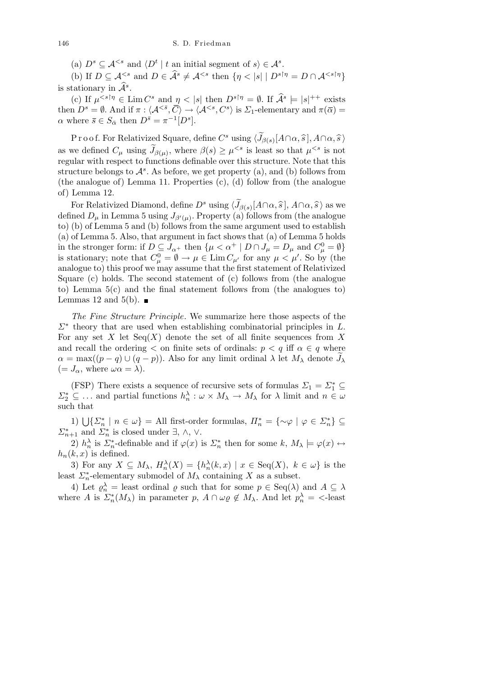(a)  $D^s \subseteq A^{< s}$  and  $\langle D^t | t$  an initial segment of  $s \rangle \in A^s$ .

(b) If  $D \subseteq \mathcal{A}^{< s}$  and  $D \in \widehat{\mathcal{A}}^s \neq \mathcal{A}^{< s}$  then  $\{\eta < |s| \mid D^{s \dagger \eta} = D \cap \mathcal{A}^{< s \dagger \eta}\}\$ is stationary in  $\widehat{A}^s$ .

(c) If  $\mu^{< s} \upharpoonright \eta \in \text{Lim } C^s$  and  $\eta < |s|$  then  $D^{s} \upharpoonright \eta = \emptyset$ . If  $\widehat{A}^s \models |s|^{++}$  exists then  $D^s = \emptyset$ . And if  $\pi : \langle A^{\leq \bar{s}}, \overline{C} \rangle \to \langle A^{\leq s}, C^s \rangle$  is  $\Sigma_1$ -elementary and  $\pi(\overline{\alpha}) =$  $\alpha$  where  $\bar{s} \in S_{\bar{\alpha}}$  then  $D^{\bar{s}} = \pi^{-1}[D^s].$ 

 $\text{Proof.}$  For Relativized Square, define  $C^s$  using  $\langle \widetilde{J}_{\beta(s)}[A\cap \alpha, \widehat{s}], A\cap \alpha, \widehat{s}\rangle$ as we defined  $C_{\mu}$  using  $\widetilde{J}_{\beta(\mu)}$ , where  $\beta(s) \geq \mu^{ is least so that  $\mu^{ is not$$ regular with respect to functions definable over this structure. Note that this structure belongs to  $\mathcal{A}^s$ . As before, we get property (a), and (b) follows from (the analogue of) Lemma 11. Properties (c), (d) follow from (the analogue of) Lemma 12.

For Relativized Diamond, define  $D^s$  using  $\langle \widetilde{J}_{\beta(s)}[A \cap \alpha, \widehat{s}], A \cap \alpha, \widehat{s} \rangle$  as we defined  $D_{\mu}$  in Lemma 5 using  $J_{\beta'(\mu)}$ . Property (a) follows from (the analogue to) (b) of Lemma 5 and (b) follows from the same argument used to establish (a) of Lemma 5. Also, that argument in fact shows that (a) of Lemma 5 holds in the stronger form: if  $D \subseteq J_{\alpha^+}$  then  $\{\mu < \alpha^+ \mid D \cap J_\mu = D_\mu \text{ and } C_\mu^0 = \emptyset\}$ is stationary; note that  $C_{\mu}^0 = \emptyset \to \mu \in \text{Lim } C_{\mu'}$  for any  $\mu < \mu'$ . So by (the analogue to) this proof we may assume that the first statement of Relativized Square (c) holds. The second statement of (c) follows from (the analogue to) Lemma 5(c) and the final statement follows from (the analogues to) Lemmas 12 and 5(b).  $\blacksquare$ 

*The Fine Structure Principle*. We summarize here those aspects of the *Σ<sup>∗</sup>* theory that are used when establishing combinatorial principles in *L*. For any set *X* let  $Seq(X)$  denote the set of all finite sequences from X and recall the ordering  $\lt$  on finite sets of ordinals:  $p \lt q$  iff  $\alpha \in q$  where  $\alpha = \max((p-q) \cup (q-p))$ . Also for any limit ordinal  $\lambda$  let  $M_{\lambda}$  denote  $J_{\lambda}$  $(= J_{\alpha}, \text{ where } \omega \alpha = \lambda).$ 

(FSP) There exists a sequence of recursive sets of formulas  $\Sigma_1 = \Sigma_1^* \subseteq$  $\Sigma_2^* \subseteq \ldots$  and partial functions  $h_n^{\lambda} : \omega \times M_{\lambda} \to M_{\lambda}$  for  $\lambda$  limit and  $n \in \omega$ such that

*f* **1**)  $\bigcup \{ \Sigma_n^* \mid n \in \omega \} = \text{All first-order formulas}, H_n^* = \{ \sim \varphi \mid \varphi \in \Sigma_n^* \}$  $\Sigma_{n+1}^*$  and  $\Sigma_n^*$  is closed under  $\exists$ ,  $\wedge$ ,  $\vee$ .

2)  $h_n^{\lambda}$  is  $\Sigma_n^*$ -definable and if  $\varphi(x)$  is  $\Sigma_n^*$  then for some  $k, M_{\lambda} \models \varphi(x) \leftrightarrow$  $h_n(k, x)$  is defined.

3) For any  $X \subseteq M_\lambda$ ,  $H_n^{\lambda}(X) = \{h_n^{\lambda}(k,x) \mid x \in \text{Seq}(X), k \in \omega\}$  is the least  $\sum_{n=0}^{\infty}$ -elementary submodel of  $M_{\lambda}$  containing X as a subset.

4) Let  $\varrho_n^{\lambda} =$  least ordinal  $\varrho$  such that for some  $p \in \text{Seq}(\lambda)$  and  $A \subseteq \lambda$ where *A* is  $\Sigma_n^*(M_\lambda)$  in parameter *p*,  $A \cap \omega_\ell \notin M_\lambda$ . And let  $p_n^\lambda = \text{ }$ -least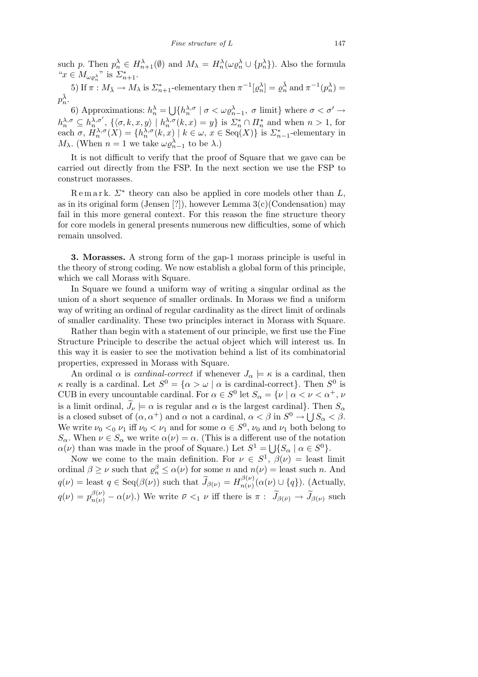such p. Then  $p_n^{\lambda} \in H_{n+1}^{\lambda}(\emptyset)$  and  $M_{\lambda} = H_n^{\lambda}(\omega \varrho_n^{\lambda} \cup \{p_n^{\lambda}\})$ . Also the formula  $^{\omega}x \in M_{\omega \varrho_n^{\lambda}}$ " is  $\Sigma_{n+1}^*$ .

5) If  $\pi : M_{\overline{\lambda}} \to M_{\lambda}$  is  $\Sigma_{n+1}^*$ -elementary then  $\pi^{-1}[\varrho_n^{\lambda}] = \varrho_n^{\overline{\lambda}}$  and  $\pi^{-1}(p_n^{\lambda}) =$  $p_n^{\bar{\lambda}}$ . S

6) Approximations:  $h_n^{\lambda} =$  ${h}^{\lambda,\sigma}_{n} \mid \sigma < \omega \varrho^{\lambda}_{n-1}, \sigma \text{ limit}$  where  $\sigma < \sigma' \rightarrow$  $h_n^{\lambda,\sigma} \subseteq h_n^{\lambda,\sigma'}$ ,  $\{\langle \sigma, k, x, y \rangle \mid h_n^{\lambda,\sigma}(k,x) = y\}$  is  $\sum_{n=1}^{\infty} \cap \prod_{n=1}^{\infty}$  and when  $n > 1$ , for each  $\sigma$ ,  $H_n^{\lambda,\sigma}(X) = \{h_n^{\lambda,\sigma}(k,x) \mid k \in \omega, x \in \text{Seq}(X)\}\$ is  $\sum_{n=1}^{\infty}$ -elementary in *M*<sub> $\lambda$ </sub>. (When *n* = 1 we take  $\omega \varrho_{n-1}^{\lambda}$  to be  $\lambda$ .)

It is not difficult to verify that the proof of Square that we gave can be carried out directly from the FSP. In the next section we use the FSP to construct morasses.

R e m a r k. *Σ<sup>∗</sup>* theory can also be applied in core models other than *L*, as in its original form (Jensen [?]), however Lemma  $3(c)$  (Condensation) may fail in this more general context. For this reason the fine structure theory for core models in general presents numerous new difficulties, some of which remain unsolved.

**3. Morasses.** A strong form of the gap-1 morass principle is useful in the theory of strong coding. We now establish a global form of this principle, which we call Morass with Square.

In Square we found a uniform way of writing a singular ordinal as the union of a short sequence of smaller ordinals. In Morass we find a uniform way of writing an ordinal of regular cardinality as the direct limit of ordinals of smaller cardinality. These two principles interact in Morass with Square.

Rather than begin with a statement of our principle, we first use the Fine Structure Principle to describe the actual object which will interest us. In this way it is easier to see the motivation behind a list of its combinatorial properties, expressed in Morass with Square.

An ordinal  $\alpha$  is *cardinal-correct* if whenever  $J_{\alpha} \models \kappa$  is a cardinal, then *κ* really is a cardinal. Let  $S^0 = \{ \alpha > \omega \mid \alpha \text{ is cardinal-correct} \}.$  Then  $S^0$  is CUB in every uncountable cardinal. For  $\alpha \in S^0$  let  $S_\alpha = \{ \nu \mid \alpha < \nu < \alpha^+, \nu \}$ is a limit ordinal,  $\widetilde{J}_{\nu} \models \alpha$  is regular and  $\alpha$  is the largest cardinal}. Then  $S_{\alpha}$ is a closed subset of  $(\alpha, \alpha^+)$  and  $\alpha$  not a cardinal,  $\alpha < \beta$  in  $S^0 \to \bigcup S_{\alpha} < \beta$ . We write  $\nu_0 < 0$   $\nu_1$  iff  $\nu_0 < \nu_1$  and for some  $\alpha \in S^0$ ,  $\nu_0$  and  $\nu_1$  both belong to  $S_{\alpha}$ . When  $\nu \in S_{\alpha}$  we write  $\alpha(\nu) = \alpha$ . (This is a different use of the notation  $\alpha(\nu)$  than was made in the proof of Square.) Let  $S^1 = \bigcup \{ S_\alpha \mid \alpha \in S^0 \}.$ 

Now we come to the main definition. For  $\nu \in S^1$ ,  $\beta(\nu) =$  least limit ordinal  $\beta \geq \nu$  such that  $\varrho_n^{\beta} \leq \alpha(\nu)$  for some *n* and  $n(\nu) =$  least such *n*. And  $q(\nu) =$  least  $q \in \text{Seq}(\beta(\nu))$  such that  $\widetilde{J}_{\beta(\nu)} = H_{n(\nu)}^{\beta(\nu)}$  $\binom{\beta(\nu)}{n(\nu)}$  ( $\alpha(\nu) \cup \{q\}$ ). (Actually,  $q(\nu) = p_{n(\nu)}^{\beta(\nu)} - \alpha(\nu)$ .) We write  $\bar{\nu} <_1 \nu$  iff there is  $\pi : \widetilde{J}_{\beta(\bar{\nu})} \to \widetilde{J}_{\beta(\nu)}$  such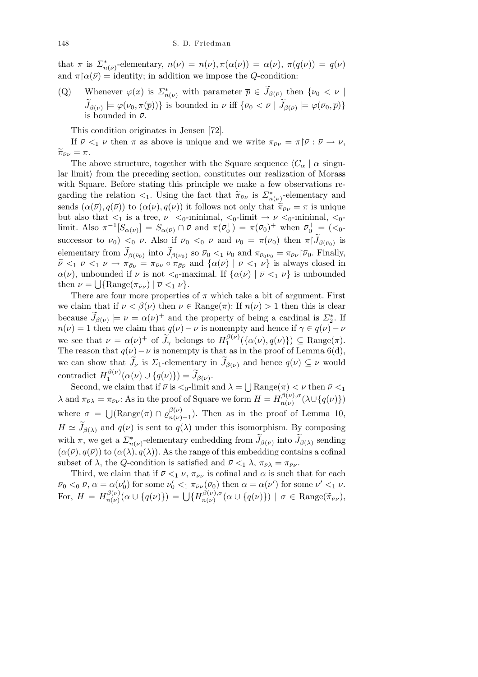that  $\pi$  is  $\sum_{n(\bar{\nu})}^*$ -elementary,  $n(\bar{\nu}) = n(\nu), \pi(\alpha(\bar{\nu})) = \alpha(\nu), \pi(q(\bar{\nu})) = q(\nu)$ and  $\pi \upharpoonright \alpha(\bar{\nu}) =$  identity; in addition we impose the *Q*-condition:

(Q) Whenever  $\varphi(x)$  is  $\sum_{n(\nu)}^*$  with parameter  $\overline{p} \in \widetilde{J}_{\beta(\overline{\nu})}$  then  $\{\nu_0 < \nu \mid$  $\widetilde{J}_{\beta(\nu)} \models \varphi(\nu_0, \pi(\overline{p}))\}$  is bounded in  $\nu$  iff  $\{\overline{\nu}_0 < \overline{\nu} \mid \widetilde{J}_{\beta(\overline{\nu})} \models \varphi(\overline{\nu}_0, \overline{p})\}$ is bounded in  $\bar{ν}$ .

This condition originates in Jensen [72].

If  $\bar{\nu} <_1 \nu$  then  $\pi$  as above is unique and we write  $\pi_{\bar{\nu}\nu} = \pi |\bar{\nu} : \bar{\nu} \to \nu$ ,  $\widetilde{\pi}_{\bar{\nu}\nu}=\pi.$ 

The above structure, together with the Square sequence  $\langle C_\alpha | \alpha \text{ singu-} \rangle$ lar limit*i* from the preceding section, constitutes our realization of Morass with Square. Before stating this principle we make a few observations regarding the relation  $\lt_1$ . Using the fact that  $\tilde{\pi}_{\bar{\nu}\nu}$  is  $\sum_{n(\nu)}^*$ -elementary and sends  $(\alpha(\bar{\nu}), q(\bar{\nu}))$  to  $(\alpha(\nu), q(\nu))$  it follows not only that  $\tilde{\pi}_{\bar{\nu}\nu} = \pi$  is unique but also that  $\lt_1$  is a tree,  $\nu \lt_0$ -minimal,  $\lt_0$ -limit  $\to \bar{\nu} \lt_0$ -minimal,  $\lt_0$ limit. Also  $\pi^{-1}[S_{\alpha(\nu)}] = S_{\alpha(\bar{\nu})} \cap \bar{\nu}$  and  $\pi(\bar{\nu}_0^+) = \pi(\bar{\nu}_0)^+$  when  $\bar{\nu}_0^+ = (\langle 0, \rangle)$ successor to  $\bar{\nu}_0$   $\lt_0$   $\bar{\nu}$ . Also if  $\bar{\nu}_0$   $\lt_0$   $\bar{\nu}$  and  $\nu_0 = \pi(\bar{\nu}_0)$  then  $\pi | \tilde{J}_{\beta(\bar{\nu}_0)}$  is elementary from  $\widetilde{J}_{\beta(\nu_0)}$  into  $\widetilde{J}_{\beta(\nu_0)}$  so  $\bar{\nu}_0 < 1$   $\nu_0$  and  $\pi_{\bar{\nu}_0 \nu_0} = \pi_{\bar{\nu} \nu} |\bar{\nu}_0$ . Finally,  $\bar{\bar{\nu}} \leq_1 \bar{\nu} \leq_1 \nu \to \pi_{\bar{\nu}\nu} = \pi_{\bar{\nu}\nu} \circ \pi_{\bar{\nu}\bar{\nu}}$  and  $\{\alpha(\bar{\nu}) \mid \bar{\nu} \leq_1 \nu\}$  is always closed in *α*(*ν*), unbounded if *ν* is not  $\lt_0$ -maximal. If  $\{\alpha(\bar{\nu}) \mid \bar{\nu} \lt_1 \nu\}$  is unbounded then  $\nu = \bigcup \{ \text{Range}(\pi_{\bar{\nu}\nu}) \mid \overline{\nu} \leq_1 \nu \}.$ 

There are four more properties of  $\pi$  which take a bit of argument. First we claim that if  $\nu < \beta(\nu)$  then  $\nu \in \text{Range}(\pi)$ : If  $n(\nu) > 1$  then this is clear because  $\widetilde{J}_{\beta(\nu)} \models \nu = \alpha(\nu)^+$  and the property of being a cardinal is  $\mathcal{Z}_2^*$ . If *n*(*ν*) = 1 then we claim that  $q(\nu) - \nu$  is nonempty and hence if  $\gamma \in q(\nu) - \nu$ we see that  $\nu = \alpha(\nu)^+$  of  $\widetilde{J}_\gamma$  belongs to  $H_1^{\beta(\nu)}$  $\{a(\nu), q(\nu)\}\}\subseteq \text{Range}(\pi).$ The reason that  $q(\nu) - \nu$  is nonempty is that as in the proof of Lemma 6(d), we can show that  $\widetilde{J}_{\nu}$  is  $\Sigma_1$ -elementary in  $\widetilde{J}_{\beta(\nu)}$  and hence  $q(\nu) \subseteq \nu$  would contradict  $H_1^{\beta(\nu)}$  $J_1^{\beta(\nu)}(\alpha(\nu) \cup \{q(\nu)\}) = \widetilde{J}_{\beta(\nu)}.$ S

Second, we claim that if  $\bar{\nu}$  is  $\lt_0$ -limit and  $\lambda =$  $\text{Range}(\pi) < \nu \text{ then } \bar{\nu} <_1$  $\lambda$  and  $\pi_{\bar{\nu}\lambda} = \pi_{\bar{\nu}\nu}$ : As in the proof of Square we form  $H = H_{n(\nu)}^{\beta(\nu),\sigma}$  $\binom{p(\nu),\sigma}{n(\nu)}(\lambda \cup \{q(\nu)\})$ where  $\sigma =$  $\overline{\phantom{a}}$  $(\text{Range}(\pi) \cap \varrho_{n(\nu)}^{\beta(\nu)})$  $\binom{p(\nu)}{n(\nu)-1}$ . Then as in the proof of Lemma 10,  $H \simeq \widetilde{J}_{\beta(\lambda)}$  and  $q(\nu)$  is sent to  $q(\lambda)$  under this isomorphism. By composing with  $\pi$ , we get a  $\sum_{n(\nu)}^*$ -elementary embedding from  $\widetilde{J}_{\beta(\bar{\nu})}$  into  $\widetilde{J}_{\beta(\lambda)}$  sending  $(\alpha(\bar{\nu}), q(\bar{\nu}))$  to  $(\alpha(\lambda), q(\lambda))$ . As the range of this embedding contains a cofinal subset of  $\lambda$ , the *Q*-condition is satisfied and  $\bar{\nu} \leq_1 \lambda$ ,  $\pi_{\bar{\nu}\lambda} = \pi_{\bar{\nu}\nu}$ .

Third, we claim that if  $\bar{\nu} <_1 \nu$ ,  $\pi_{\bar{\nu}\nu}$  is cofinal and  $\alpha$  is such that for each  $\bar{\nu}_0 <_0 \bar{\nu}, \alpha = \alpha(\nu'_0)$  for some  $\nu'_0 <_1 \pi_{\bar{\nu}\nu}(\bar{\nu}_0)$  then  $\alpha = \alpha(\nu')$  for some  $\nu' <_1 \nu$ . For,  $H = H^{\beta(\nu)}_{n(\nu)}$  $\frac{\partial}{\partial \nu}(\nu)}{n(\nu)}(\alpha \cup \{q(\nu)\}) = \bigcup \{H_{n(\nu)}^{\beta(\nu), \sigma}$  $\sigma_{n(\nu)}^{\beta(\nu),\sigma}(\alpha \cup \{q(\nu)\})$  |  $\sigma \in \text{Range}(\widetilde{\pi}_{\bar{\nu}\nu}),$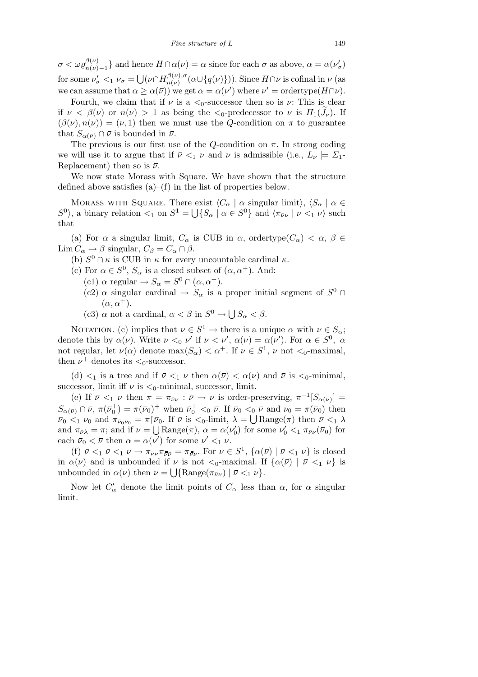$\sigma < \omega \varrho_{n(\nu)-1}^{\beta(\nu)}\}$  and hence  $H \cap \alpha(\nu) = \alpha$  since for each  $\sigma$  as above,  $\alpha = \alpha(\nu_{\sigma}')$ for some  $\nu'_{\sigma} < 1$   $\nu_{\sigma} =$ S  $(\nu \cap H^{\beta(\nu),\sigma}_{n(\nu)})$  $\binom{\beta(\nu), \sigma}{n(\nu)}(\alpha \cup \{q(\nu)\})$ . Since  $H \cap \nu$  is cofinal in  $\nu$  (as we can assume that  $\alpha \geq \alpha(\bar{\nu})$  we get  $\alpha = \alpha(\nu')$  where  $\nu' = \text{ordertype}(H \cap \nu)$ .

Fourth, we claim that if  $\nu$  is a  $\lt_0$ -successor then so is  $\bar{\nu}$ : This is clear if  $\nu < \beta(\nu)$  or  $n(\nu) > 1$  as being the  $\lt_0$ -predecessor to  $\nu$  is  $\Pi_1(\bar{J}_{\nu})$ . If  $(\beta(\nu), n(\nu)) = (\nu, 1)$  then we must use the *Q*-condition on  $\pi$  to guarantee that  $S_{\alpha(\bar{\nu})} \cap \bar{\nu}$  is bounded in  $\bar{\nu}$ .

The previous is our first use of the *Q*-condition on  $\pi$ . In strong coding we will use it to argue that if  $\bar{\nu} <_1 \nu$  and  $\nu$  is admissible (i.e.,  $L_{\nu} \models \Sigma_1$ -Replacement) then so is  $\bar{\nu}$ .

We now state Morass with Square. We have shown that the structure defined above satisfies  $(a)$ – $(f)$  in the list of properties below.

MORASS WITH SQUARE. There exist  $\langle C_\alpha | \alpha \text{ singular limit} \rangle$ ,  $\langle S_\alpha | \alpha \in \mathbb{R}^n$  $S^0$ , a binary relation  $\lt_1$  on  $S^1 = \bigcup \{ S_\alpha \mid \alpha \in S^0 \}$  and  $\langle \pi_{\bar{\nu}\nu} \mid \bar{\nu} \lt_1 \nu \rangle$  such that

(a) For  $\alpha$  a singular limit,  $C_{\alpha}$  is CUB in  $\alpha$ , ordertype $(C_{\alpha}) < \alpha$ ,  $\beta \in$ Lim  $C_{\alpha} \rightarrow \beta$  singular,  $C_{\beta} = C_{\alpha} \cap \beta$ .

- (b)  $S^0 \cap \kappa$  is CUB in  $\kappa$  for every uncountable cardinal  $\kappa$ .
- (c) For  $\alpha \in S^0$ ,  $S_\alpha$  is a closed subset of  $(\alpha, \alpha^+)$ . And:
	- (c1)  $\alpha$  regular  $\rightarrow S_{\alpha} = S^0 \cap (\alpha, \alpha^+).$
	- $(c2)$   $\alpha$  singular cardinal  $\rightarrow S_{\alpha}$  is a proper initial segment of  $S^0$  $(\alpha, \alpha^+).$
	- (c3)  $\alpha$  not a cardinal,  $\alpha < \beta$  in  $S^0 \to \bigcup$ *S<sup>α</sup> < β*.

NOTATION. (c) implies that  $\nu \in S^1 \to \text{there is a unique } \alpha \text{ with } \nu \in S_\alpha;$ denote this by  $\alpha(\nu)$ . Write  $\nu <_0 \nu'$  if  $\nu < \nu'$ ,  $\alpha(\nu) = \alpha(\nu')$ . For  $\alpha \in S^0$ ,  $\alpha$ not regular, let  $\nu(\alpha)$  denote  $\max(S_{\alpha}) < \alpha^{+}$ . If  $\nu \in S^{1}$ ,  $\nu$  not  $\lt_{0}$ -maximal, then  $\nu^+$  denotes its  $\lt_0$ -successor.

(d)  $\lt_1$  is a tree and if  $\bar{\nu} \lt_1 \nu$  then  $\alpha(\bar{\nu}) \lt \alpha(\nu)$  and  $\bar{\nu}$  is  $\lt_0$ -minimal, successor, limit iff  $\nu$  is  $\lt_0$ -minimal, successor, limit.

(e) If  $\bar{\nu} <_1 \nu$  then  $\pi = \pi_{\bar{\nu}\nu} : \bar{\nu} \to \nu$  is order-preserving,  $\pi^{-1}[S_{\alpha(\nu)}] =$  $S_{\alpha(\bar{\nu})} \cap \bar{\nu}, \pi(\bar{\nu}_0^+) = \pi(\bar{\nu}_0)^+$  when  $\bar{\nu}_0^+ <_0 \bar{\nu}$ . If  $\bar{\nu}_0 <_0 \bar{\nu}$  and  $\nu_0 = \pi(\bar{\nu}_0)$  then  $\bar{\nu}_0 <_1 \nu_0$  and  $\pi_{\bar{\nu}_0 \nu_0} = \pi | \bar{\nu}_0$ . If  $\bar{\nu}$  is  $\langle 0 \cdot \text{limit}, \lambda = \bigcup \text{Range}(\pi)$  then  $\bar{\nu} \langle 1 \rangle$ and  $\pi_{\bar{\nu}\lambda} = \pi$ ; and if  $\nu = \bigcup \text{Range}(\pi)$ ,  $\alpha = \alpha(\nu'_0)$  for some  $\nu'_0 \leq_1 \pi_{\bar{\nu}\nu}(\bar{\nu}_0)$  for each  $\bar{\nu}_0 < \bar{\nu}$  then  $\alpha = \alpha(\nu')$  for some  $\nu' <_1 \nu$ .

(f)  $\bar{\bar{\nu}} <_1 \bar{\nu} <_1 \nu \rightarrow \pi_{\bar{\nu}\nu} \pi_{\bar{\nu}\bar{\nu}} = \pi_{\bar{\nu}\nu}$ . For  $\nu \in S^1$ ,  $\{\alpha(\bar{\nu}) \mid \bar{\nu} <_1 \nu\}$  is closed in  $\alpha(\nu)$  and is unbounded if  $\nu$  is not  $\langle 0$ -maximal. If  $\{\alpha(\bar{\nu}) \mid \bar{\nu} \langle 1 \nu \rangle\}$  is unbounded in  $\alpha(\nu)$  then  $\nu = \bigcup \{\text{Range}(\pi_{\bar{\nu}\nu}) \mid \bar{\nu} \leq_1 \nu\}.$ 

Now let  $C'_{\alpha}$  denote the limit points of  $C_{\alpha}$  less than  $\alpha$ , for  $\alpha$  singular limit.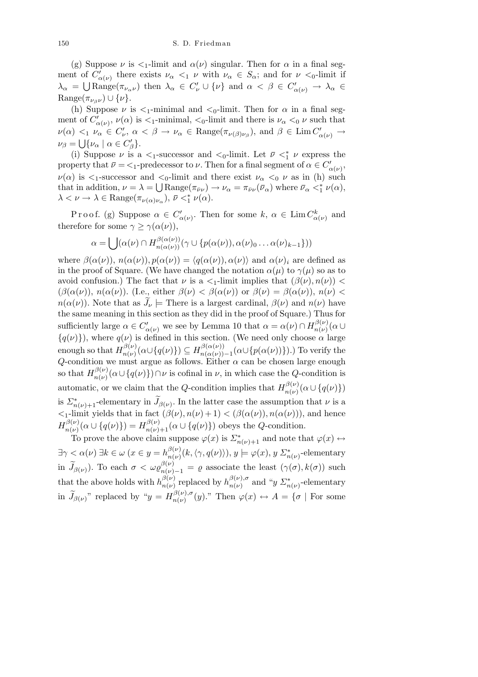(g) Suppose  $\nu$  is  $\lt_1$ -limit and  $\alpha(\nu)$  singular. Then for  $\alpha$  in a final segment of  $C'_{\alpha(\nu)}$  there exists  $\nu_{\alpha} <_{1} \nu$  with  $\nu_{\alpha} \in S_{\alpha}$ ; and for  $\nu <_{0}$ -limit if  $\lambda_{\alpha} = \bigcup \text{Range}(\pi_{\nu_{\alpha}\nu})$  then  $\lambda_{\alpha} \in C'_{\nu} \cup \{\nu\}$  and  $\alpha < \beta \in C'_{\alpha(\nu)} \to \lambda_{\alpha} \in C'_{\alpha(\nu)}$  $\text{Range}(\pi_{\nu_{\beta}\nu}) \cup \{\nu\}.$ 

(h) Suppose  $\nu$  is  $\lt_1$ -minimal and  $\lt_0$ -limit. Then for  $\alpha$  in a final segment of  $C'_{\alpha(\nu)}, \nu(\alpha)$  is  $\lt_1$ -minimal,  $\lt_0$ -limit and there is  $\nu_\alpha \lt_0 \nu$  such that  $\nu(\alpha) <_1 \nu_\alpha \in C'_\nu, \ \alpha < \beta \to \nu_\alpha \in \text{Range}(\pi_{\nu(\beta)\nu_\beta}), \text{ and } \beta \in \text{Lim } C'_{\alpha(\nu)} \to$  $\nu_{\beta} = \bigcup \{ \nu_{\alpha} \mid \alpha \in C'_{\beta} \}.$ 

(i) Suppose  $\nu$  is a  $\lt_1$ -successor and  $\lt_0$ -limit. Let  $\bar{\nu} \lt_1^* \nu$  express the property that  $\bar{\nu} = \langle 1 \rangle$ -predecessor to  $\nu$ . Then for a final segment of  $\alpha \in C'_{\alpha(\nu)}$ ,  $\nu(\alpha)$  is  $\langle \cdot \rangle$ -successor and  $\langle \cdot \rangle$ -limit and there exist  $\nu_{\alpha} \langle \cdot \rangle$  as in (h) such that in addition,  $\nu = \lambda = \bigcup \text{Range}(\pi_{\bar{\nu}\nu}) \to \nu_\alpha = \pi_{\bar{\nu}\nu}(\bar{\nu}_\alpha)$  where  $\bar{\nu}_\alpha <^*_{1} \nu(\alpha)$ ,  $\lambda < \nu \to \lambda \in \text{Range}(\pi_{\nu(\alpha)\nu_{\alpha}}), \bar{\nu} <^*_{1} \nu(\alpha).$ 

Proof. (g) Suppose  $\alpha \in C'_{\alpha(\nu)}$ . Then for some  $k, \alpha \in \text{Lim } C^k_{\alpha(\nu)}$  and therefore for some  $\gamma \geq \gamma(\alpha(\nu)),$ 

$$
\alpha = \bigcup(\alpha(\nu) \cap H_{n(\alpha(\nu))}^{\beta(\alpha(\nu))}(\gamma \cup \{p(\alpha(\nu)), \alpha(\nu)_0 \dots \alpha(\nu)_{k-1}\}))
$$

where  $\beta(\alpha(\nu))$ ,  $n(\alpha(\nu))$ ,  $p(\alpha(\nu)) = \langle q(\alpha(\nu))$ ,  $\alpha(\nu)$  and  $\alpha(\nu)$ <sub>*i*</sub> are defined as in the proof of Square. (We have changed the notation  $\alpha(\mu)$  to  $\gamma(\mu)$  so as to avoid confusion.) The fact that  $\nu$  is a  $\lt_1$ -limit implies that  $(\beta(\nu), n(\nu)) \lt \infty$ ( $\beta(\alpha(\nu))$ ,  $n(\alpha(\nu))$ . (I.e., either  $\beta(\nu) < \beta(\alpha(\nu))$  or  $\beta(\nu) = \beta(\alpha(\nu))$ ,  $n(\nu) <$  $n(\alpha(\nu))$ . Note that as  $J_{\nu} \models$  There is a largest cardinal,  $\beta(\nu)$  and  $n(\nu)$  have the same meaning in this section as they did in the proof of Square.) Thus for sufficiently large  $\alpha \in C'_{\alpha(\nu)}$  we see by Lemma 10 that  $\alpha = \alpha(\nu) \cap H_{n(\nu)}^{\beta(\nu)}$  $\frac{\partial^{(\nu)}}{\partial n(\nu)}(\alpha \cup$  ${q(\nu)}$ , where  $q(\nu)$  is defined in this section. (We need only choose  $\alpha$  large enough so that  $H_{n(\nu)}^{\beta(\nu)}$  $H_{n(\nu)}^{\beta(\nu)}(\alpha \cup \{q(\nu)\}) \subseteq H_{n(\alpha(\nu))}^{\beta(\alpha(\nu))}$  $\frac{\partial P(\alpha(\nu))}{\partial n(\alpha(\nu))-1}(\alpha \cup \{p(\alpha(\nu))\})$ .) To verify the *Q*-condition we must argue as follows. Either *α* can be chosen large enough so that  $H_{n(\nu)}^{\beta(\nu)}$  $\binom{\beta(\nu)}{n(\nu)}$  ( $\alpha \cup \{q(\nu)\}\$ )  $\cap \nu$  is cofinal in  $\nu$ , in which case the *Q*-condition is automatic, or we claim that the *Q*-condition implies that  $H_{n(\nu)}^{\beta(\nu)}$  $\binom{p(\nu)}{n(\nu)}(\alpha \cup \{q(\nu)\})$ is  $\sum_{n(\nu)+1}^*$ -elementary in  $\widetilde{J}_{\beta(\nu)}$ . In the latter case the assumption that  $\nu$  is a  $\langle \langle \cdot | \cdot |$  imit yields that in fact  $(\beta(\nu), n(\nu) + 1) \langle (\beta(\alpha(\nu)), n(\alpha(\nu)) \rangle$ , and hence  $H^{\beta(\nu)}_{n(\nu)}$  $P_{n(\nu)}^{(\beta(\nu))}(\alpha \cup \{q(\nu)\}) = H_{n(\nu)+1}^{(\beta(\nu))}(\alpha \cup \{q(\nu)\})$  obeys the *Q*-condition.

To prove the above claim suppose  $\varphi(x)$  is  $\sum_{n(\nu)+1}^{*}$  and note that  $\varphi(x) \leftrightarrow$ *∃γ < α*(*ν*) *∃k ∈ ω* (*x ∈ y* = *h β*(*ν*)  $\varphi_{n(\nu)}^{(\nu)}(k, \langle \gamma, q(\nu) \rangle), y \models \varphi(x), y \Sigma_{n(\nu)}^*$ -elementary in  $\widetilde{J}_{\beta(\nu)}$ ). To each  $\sigma < \omega \varrho_{n(\nu)-1}^{\beta(\nu)} = \varrho$  associate the least  $(\gamma(\sigma), k(\sigma))$  such that the above holds with  $h_{n(\nu)}^{\beta(\nu)}$  $\frac{\beta(\nu)}{n(\nu)}$  replaced by  $h^{\beta(\nu), \sigma}_{n(\nu)}$  $\int_{n(\nu)}^{\beta(\nu),\sigma}$  and "*y*  $\sum_{n(\nu)}^*$ -elementary in  $\widetilde{J}_{\beta(\nu)}$ " replaced by " $y = H^{\beta(\nu), \sigma}_{n(\nu)}$  $n(\nu) \to \infty$  (*y*)." Then  $\varphi(x) \leftrightarrow A = \{\sigma \mid \text{For some}$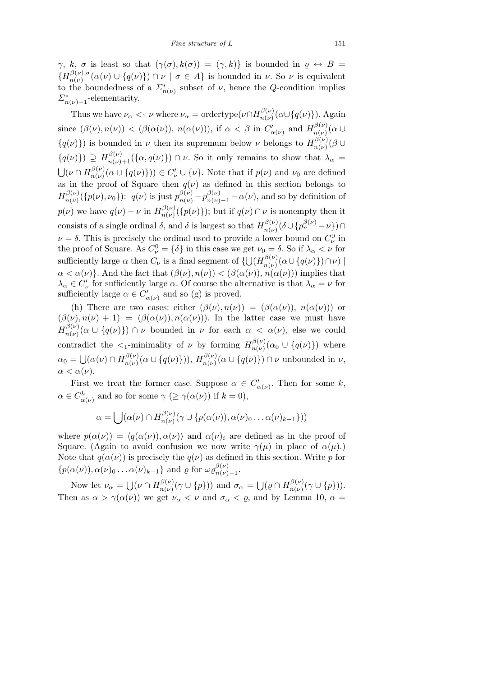*γ*, *k*, *σ* is least so that  $(\gamma(\sigma), k(\sigma)) = (\gamma, k)$ } is bounded in  $\varrho \leftrightarrow B =$  ${H}^{\beta(\nu),\sigma}_{n(\nu)}$  $\int_{n(\nu)}^{\beta(\nu),\sigma} (\alpha(\nu) \cup \{q(\nu)\}) \cap \nu \mid \sigma \in A\}$  is bounded in  $\nu$ . So  $\nu$  is equivalent to the boundedness of a  $\sum_{n(\nu)}^*$  subset of  $\nu$ , hence the *Q*-condition implies  $\Sigma_{n(\nu)+1}^*$ -elementarity.

Thus we have  $\nu_{\alpha} <sub>1</sub> \nu$  where  $\nu_{\alpha} = \text{ordertype}(\nu \cap H_{n(\nu)}^{\beta(\nu)})$  $\binom{p(\nu)}{n(\nu)}$ ( $\alpha \cup \{q(\nu)\}\)$ . Again since  $(\beta(\nu), n(\nu)) < (\beta(\alpha(\nu)), n(\alpha(\nu)))$ , if  $\alpha < \beta$  in  $C'_{\alpha(\nu)}$  and  $H_{n(\nu)}^{\beta(\nu)}$  $\frac{\partial^{(\nu)}}{\partial(\nu)}(\alpha \cup$  ${q(\nu)}$ ) is bounded in *ν* then its supremum below *ν* belongs to  $H^{\beta(\nu)}_{n(\nu)}$  $\frac{\partial^2(\nu)}{\partial(\nu)}(\beta \cup$  ${q(\nu)}$   $\geq H_{n(\nu)+1}^{\beta(\nu)}(\{\alpha,q(\nu)\})\cap \nu$ . So it only remains to show that  $\lambda_{\alpha}$  $\frac{3}{2}$  $(\nu \cap H_{n(\nu)}^{\beta(\nu)})$  $n(\nu)(\alpha \cup \{q(\nu)\}) \in C'_{\nu} \cup \{\nu\}$ . Note that if  $p(\nu)$  and  $\nu_0$  are defined as in the proof of Square then  $q(\nu)$  as defined in this section belongs to  $H^{\beta(\nu)}_{n(\nu)}$  $\mathcal{L}_{n(\nu)}^{\beta(\nu)}(\{p(\nu),\nu_0\})$ :  $q(\nu)$  is just  $p_{n(\nu)}^{\beta(\nu)}-p_{n(\nu)-1}^{\beta(\nu)}-\alpha(\nu)$ , and so by definition of *p*(*ν*) we have  $q(\nu) - \nu$  in  $H_{n(\nu)}^{\beta(\nu)}$  $n(\nu)(p(\nu))$ ; but if  $q(\nu) \cap \nu$  is nonempty then it consists of a single ordinal  $\delta$ , and  $\delta$  is largest so that  $H_{n(\nu)}^{\beta(\nu)}$  $\frac{\partial^{\beta}(\nu)}{\partial n(\nu)}$  $\left(\delta\cup\{p^{\beta(\nu)}_{n}-\nu\}\right)\cap$  $\nu = \delta$ . This is precisely the ordinal used to provide a lower bound on  $C_{\nu}^{0}$  in the proof of Square. As  $C_{\nu}^0 = \{\delta\}$  in this case we get  $\nu_0 = \delta$ . So if  $\lambda_{\alpha} < \nu$  for sufficiently large  $\alpha$  then  $C_{\nu}$  is a final segment of  $\{$  $\frac{1}{2}$  $(H^{\beta(\nu)}_{n(\nu)})$ *n*(*ν*) (*α∪ {q*(*ν*)*}*)*∩ν*) *|*  $\alpha < \alpha(\nu)$ }. And the fact that  $(\beta(\nu), n(\nu)) < (\beta(\alpha(\nu)), n(\alpha(\nu))$  implies that  $\lambda_{\alpha} \in C'_{\nu}$  for sufficiently large *α*. Of course the alternative is that  $\lambda_{\alpha} = \nu$  for sufficiently large  $\alpha \in C'_{\alpha(\nu)}$  and so (g) is proved.

(h) There are two cases: either  $(\beta(\nu), n(\nu)) = (\beta(\alpha(\nu)), n(\alpha(\nu))$  or  $(\beta(\nu), n(\nu) + 1) = (\beta(\alpha(\nu)), n(\alpha(\nu))$ . In the latter case we must have  $H^{\beta(\nu)}_{n(\nu)}$  $n(\nu)(\alpha \cup \{q(\nu)\}) \cap \nu$  bounded in  $\nu$  for each  $\alpha < \alpha(\nu)$ , else we could contradict the  $\lt_1$ -minimality of *ν* by forming  $H_{n(\nu)}^{\beta(\nu)}$  $\binom{p(\nu)}{n(\nu)}(\alpha_0 \cup \{q(\nu)\})$  where  $\alpha_0 =$ S  $(\alpha(\nu) \cap H_{n(\nu)}^{\beta(\nu)})$  $\binom{\beta(\nu)}{n(\nu)}(\alpha \cup \{q(\nu)\})$ ),  $H_{n(\nu)}^{\beta(\nu)}$  $\binom{\beta(\nu)}{n(\nu)}$  ( $\alpha \cup \{q(\nu)\}\$ )  $\cap \nu$  unbounded in  $\nu$ ,  $\alpha < \alpha(\nu)$ .

First we treat the former case. Suppose  $\alpha \in C'_{\alpha(\nu)}$ . Then for some k,  $\alpha \in C^k_{\alpha(\nu)}$  and so for some  $\gamma \geq \gamma(\alpha(\nu))$  if  $k = 0$ ),

$$
\alpha = \bigcup(\alpha(\nu) \cap H_{n(\nu)}^{\beta(\nu)}(\gamma \cup \{p(\alpha(\nu)), \alpha(\nu), \ldots \alpha(\nu)_{k-1}\}))
$$

where  $p(\alpha(\nu)) = \langle q(\alpha(\nu)), \alpha(\nu) \rangle$  and  $\alpha(\nu)_i$  are defined as in the proof of Square. (Again to avoid confusion we now write  $\gamma(\mu)$  in place of  $\alpha(\mu)$ *.*) Note that  $q(\alpha(\nu))$  is precisely the  $q(\nu)$  as defined in this section. Write *p* for  $\{p(\alpha(\nu))$ ,  $\alpha(\nu)$ <sub>0</sub>  $\ldots$   $\alpha(\nu)$ <sub>*k*−1</sub></sub>} and  $\rho$  for  $\omega \rho_{n(\nu)}^{\beta(\nu)}$ *n*(*ν*)*−*1 .

Now let  $\nu_{\alpha} =$ S  $(\nu \cap H_{n(\nu)}^{\beta(\nu)})$  $\sigma_n(\nu)(\gamma \cup \{p\})$  and  $\sigma_\alpha =$ S  $(\varrho \cap H^{\beta(\nu)}_{n(\nu)})$  $\frac{\partial^{(V)}(V)}{\partial(n)}(\gamma \cup \{p\})).$ Then as  $\alpha > \gamma(\alpha(\nu))$  we get  $\nu_{\alpha} < \nu$  and  $\sigma_{\alpha} < \varrho$ , and by Lemma 10,  $\alpha =$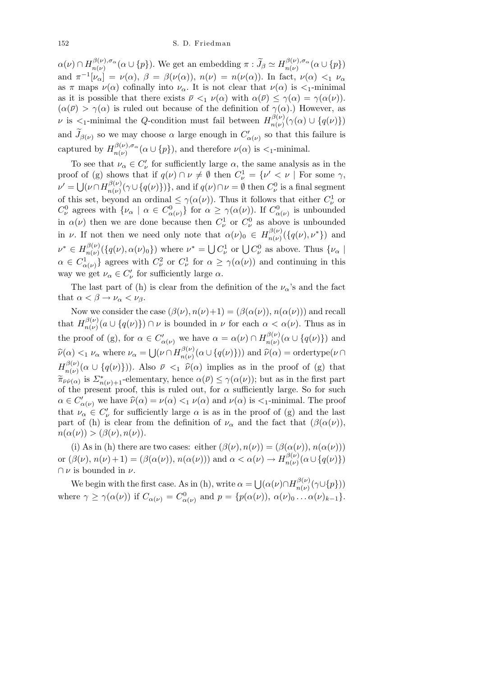$\alpha(\nu) \cap H_{n(\nu)}^{\beta(\nu),\sigma_\alpha}$  $\eta(\nu), \sigma_{\alpha}(\alpha \cup \{p\})$ . We get an embedding  $\pi : \widetilde{J}_{\beta} \simeq H_{n(\nu)}^{\beta(\nu), \sigma_{\alpha}}$  $\binom{p(\nu), \sigma_{\alpha}}{n(\nu)}(\alpha \cup \{p\})$ and  $\pi^{-1}[\nu_{\alpha}] = \nu(\alpha), \ \beta = \beta(\nu(\alpha)), \ n(\nu) = n(\nu(\alpha)).$  In fact,  $\nu(\alpha) <_1 \nu_{\alpha}$ as  $\pi$  maps  $\nu(\alpha)$  cofinally into  $\nu_{\alpha}$ . It is not clear that  $\nu(\alpha)$  is  $\lt_1$ -minimal as it is possible that there exists  $\bar{\nu} <_1 \nu(\alpha)$  with  $\alpha(\bar{\nu}) \leq \gamma(\alpha) = \gamma(\alpha(\nu))$ .  $(\alpha(\bar{\nu}) > \gamma(\alpha)$  is ruled out because of the definition of  $\gamma(\alpha)$ .) However, as *ν* is  $\lt_{1}$ -minimal the *Q*-condition must fail between  $H_{n(\nu)}^{\beta(\nu)}$  $\{a(\nu)\}_{n(\nu)}^{(\nu)}(\gamma(\alpha) \cup \{q(\nu)\})$ and  $\widetilde{J}_{\beta(\nu)}$  so we may choose  $\alpha$  large enough in  $C'_{\alpha(\nu)}$  so that this failure is captured by  $H_{n(\nu)}^{\beta(\nu),\sigma_\alpha}$  $n(\nu)$ ,  $\sigma_{\alpha}$  ( $\alpha \cup \{p\}$ ), and therefore  $\nu(\alpha)$  is  $\lt_1$ -minimal.

To see that  $\nu_{\alpha} \in C'_{\nu}$  for sufficiently large  $\alpha$ , the same analysis as in the proof of (g) shows that if  $q(\nu) \cap \nu \neq \emptyset$  then  $C_{\nu}^1 = {\nu' < \nu \mid \text{For some } \gamma,$ *μ*<sup>(</sup> = U  $(\nu \cap H_{n(\nu)}^{\beta(\nu)})$  $\{a(\nu)\}\{\gamma \cup \{q(\nu)\}\}\}\$ , and if  $q(\nu) \cap \nu = \emptyset$  then  $C_{\nu}^0$  is a final segment of this set, beyond an ordinal  $\leq \gamma(\alpha(\nu))$ . Thus it follows that either  $C^1_{\nu}$  or *C*<sup>0</sup><sup>*y*</sup> agrees with  $\{\nu_{\alpha} \mid \alpha \in C^0_{\alpha(\nu)}\}$  for  $\alpha \geq \gamma(\alpha(\nu))$ . If  $C^0_{\alpha(\nu)}$  is unbounded in  $\alpha(\nu)$  then we are done because then  $C^1_{\nu}$  or  $C^0_{\nu}$  as above is unbounded in *ν*. If not then we need only note that  $\alpha(\nu)_0 \in H_{n(\nu)}^{\beta(\nu)}$  $\binom{\beta(\nu)}{n(\nu)}(\{q(\nu), \nu^*\})$  and  $\nu^* \in H^{\beta(\nu)}_{n(\nu)}$  $\int_{n(\nu)}^{\beta(\nu)} (\{q(\nu), \alpha(\nu)\})$  where  $\nu^* = \bigcup$  $C^1_{\nu}$  or  $\bigcup C^0_{\nu}$  as above. Thus  $\{\nu_{\alpha}\}\$  $\alpha \in C^1_{\alpha(\nu)}$  agrees with  $C^2_{\nu}$  or  $C^1_{\nu}$  for  $\alpha \geq \gamma(\alpha(\nu))$  and continuing in this way we get  $\nu_{\alpha} \in C'_{\nu}$  for sufficiently large  $\alpha$ .

The last part of (h) is clear from the definition of the  $\nu_{\alpha}$ 's and the fact that  $\alpha < \beta \rightarrow \nu_{\alpha} < \nu_{\beta}$ .

Now we consider the case  $(\beta(\nu), n(\nu)+1) = (\beta(\alpha(\nu)), n(\alpha(\nu)))$  and recall that  $H_{n(\nu)}^{\beta(\nu)}$  $n_{n(\nu)}^{(p(\nu))}(a \cup \{q(\nu)\}) \cap \nu$  is bounded in  $\nu$  for each  $\alpha < \alpha(\nu)$ . Thus as in the proof of (g), for  $\alpha \in C'_{\alpha(\nu)}$  we have  $\alpha = \alpha(\nu) \cap H_{n(\nu)}^{\beta(\nu)}$  $\binom{p(\nu)}{n(\nu)}(\alpha \cup \{q(\nu)\})$  and  $\widehat{\nu}(\alpha) <$ <sub>1</sub>  $\nu_{\alpha}$  where  $\nu_{\alpha} =$ S  $(\nu \cap H_{n(\nu)}^{\beta(\nu)})$  $\widehat{\nu}_{n(\nu)}^{(\nu)}(\alpha \cup \{q(\nu)\})$  and  $\widehat{\nu}(\alpha) = \text{ordertype}(\nu \cap \alpha)$  $H^{\beta(\nu)}_{n(\nu)}$  $n(\nu)(\alpha \cup \{q(\nu)\})$ . Also  $\bar{\nu} \leq_1 \hat{\nu}(\alpha)$  implies as in the proof of (g) that  $\widetilde{\pi}_{\nu\hat{\nu}(\alpha)}$  is  $\sum_{n(\nu)+1}^*$ -elementary, hence  $\alpha(\bar{\nu}) \leq \gamma(\alpha(\nu))$ ; but as in the first part of the present proof, this is ruled out, for  $\alpha$  sufficiently large. So for such  $\alpha \in C'_{\alpha(\nu)}$  we have  $\widehat{\nu}(\alpha) = \nu(\alpha) <sub>1</sub> \nu(\alpha)$  and  $\nu(\alpha)$  is  $\lt_1$ -minimal. The proof that  $\nu_{\alpha} \in C'_{\nu}$  for sufficiently large  $\alpha$  is as in the proof of (g) and the last part of (h) is clear from the definition of  $\nu_{\alpha}$  and the fact that  $(\beta(\alpha(\nu)))$ ,  $n(\alpha(\nu)) > (\beta(\nu), n(\nu)).$ 

(i) As in (h) there are two cases: either  $(\beta(\nu), n(\nu)) = (\beta(\alpha(\nu)), n(\alpha(\nu)))$ or  $(\beta(\nu), n(\nu) + 1) = (\beta(\alpha(\nu)), n(\alpha(\nu)))$  and  $\alpha < \alpha(\nu) \rightarrow H_{n(\nu)}^{\beta(\nu)}$  $\binom{p(\nu)}{n(\nu)}(\alpha \cup \{q(\nu)\})$ *∩ ν* is bounded in *ν*. S

We begin with the first case. As in (h), write  $\alpha =$  $(\alpha(\nu) \cap H_{n(\nu)}^{\beta(\nu)})$  $\eta_{n(\nu)}^{(p)}(\gamma \cup \{p\}))$ where  $\gamma \geq \gamma(\alpha(\nu))$  if  $C_{\alpha(\nu)} = C^0_{\alpha(\nu)}$  and  $p = \{p(\alpha(\nu)), \alpha(\nu)_0 \dots \alpha(\nu)_{k-1}\}.$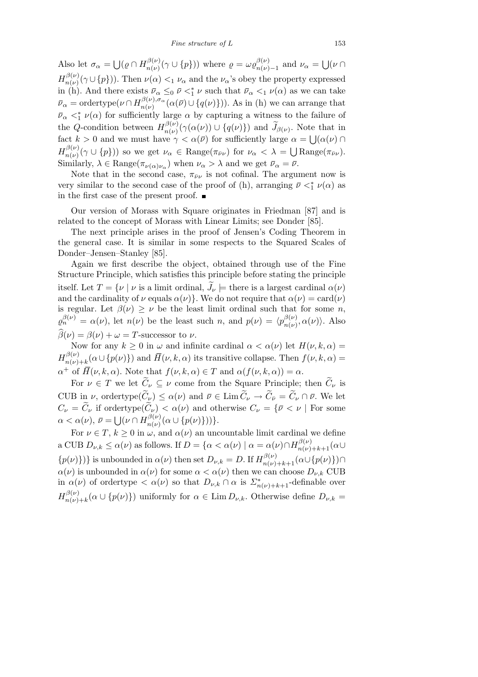Also let  $\sigma_{\alpha} =$ S  $(\varrho \cap H^{\beta(\nu)}_{n(\nu)})$  $\omega_{n(\nu)}^{\beta(\nu)}(\gamma \cup \{p\}))$  where  $\rho = \omega \varrho_{n(\nu)}^{\beta(\nu)}$  $\frac{\rho(\nu)}{n(\nu)-1}$  and  $\nu_{\alpha} =$ S (*ν ∩*  $H^{\beta(\nu)}_{n(\nu)}$  $\frac{\partial^2 (\nu)}{\partial n(\nu)} (\gamma \cup \{p\})$ . Then  $\nu(\alpha) <_1 \nu_\alpha$  and the  $\nu_\alpha$ 's obey the property expressed in (h). And there exists  $\bar{\nu}_{\alpha} \leq_0 \bar{\nu} \lt^*_{1} \nu$  such that  $\bar{\nu}_{\alpha} \lt_{1} \nu(\alpha)$  as we can take  $\bar{\nu}_{\alpha} = \text{ordertype}(\nu \cap H_{n(\nu)}^{\beta(\nu), \sigma_{\alpha}})$  $\binom{\beta(\nu), \sigma_{\alpha}}{n(\nu)}$  ( $\alpha(\bar{\nu}) \cup \{q(\nu)\}\)$ ). As in (h) we can arrange that  $\bar{\nu}_{\alpha}$   $\lt^*$  *ν*(*α*) for sufficiently large *α* by capturing a witness to the failure of the *Q*-condition between  $H_{n(\nu)}^{\beta(\nu)}$  $\tilde{\mathcal{J}}_{n(\nu)}(\gamma(\alpha(\nu))) \cup \{q(\nu)\}\)$  and  $\tilde{\mathcal{J}}_{\beta(\nu)}$ . Note that in fact  $k > 0$  and we must have  $\gamma < \alpha(\bar{\nu})$  for sufficiently large  $\alpha = \bigcup_{\alpha(\nu)} \alpha(\bar{\nu})$  $H^{\beta(\nu)}_{n(\nu)}$  $n(\nu)(\gamma \cup \{p\})$  so we get  $\nu_{\alpha} \in \text{Range}(\pi_{\bar{\nu}\nu})$  for  $\nu_{\alpha} < \lambda =$  $\alpha$  $\text{Range}(\pi_{\bar{\nu}\nu}).$ Similarly,  $\lambda \in \text{Range}(\pi_{\nu(\alpha)\nu_{\alpha}})$  when  $\nu_{\alpha} > \lambda$  and we get  $\bar{\nu}_{\alpha} = \bar{\nu}$ .

Note that in the second case,  $\pi_{\bar{\nu}\nu}$  is not cofinal. The argument now is very similar to the second case of the proof of (h), arranging  $\bar{\nu} <^*_{1} \nu(\alpha)$  as in the first case of the present proof.

Our version of Morass with Square originates in Friedman [87] and is related to the concept of Morass with Linear Limits; see Donder [85].

The next principle arises in the proof of Jensen's Coding Theorem in the general case. It is similar in some respects to the Squared Scales of Donder–Jensen–Stanley [85].

Again we first describe the object, obtained through use of the Fine Structure Principle, which satisfies this principle before stating the principle itself. Let  $T = \{ \nu \mid \nu \text{ is a limit ordinal}, \widetilde{J}_{\nu} \models \text{there is a largest cardinal } \alpha(\nu) \}$ and the cardinality of  $\nu$  equals  $\alpha(\nu)$ }. We do not require that  $\alpha(\nu) = \text{card}(\nu)$ is regular. Let  $\beta(\nu) \geq \nu$  be the least limit ordinal such that for some *n*,  $\varrho_n^{\beta(\nu)} = \alpha(\nu)$ , let  $n(\nu)$  be the least such *n*, and  $p(\nu) = \langle p_{n(\nu)}^{\beta(\nu)} \rangle$  $\rho_{n(\nu)}^{(\nu)}, \alpha(\nu)$ ). Also  $\widehat{\beta}(\nu) = \beta(\nu) + \omega = T$ -successor to  $\nu$ .

Now for any  $k \geq 0$  in  $\omega$  and infinite cardinal  $\alpha < \alpha(\nu)$  let  $H(\nu, k, \alpha) =$  $H^{\beta(\nu)}_{n(\nu)}$  $n(\nu) + k(\alpha \cup \{p(\nu)\})$  and  $H(\nu, k, \alpha)$  its transitive collapse. Then  $f(\nu, k, \alpha) =$  $\alpha^+$  of  $\overline{H}(\nu, k, \alpha)$ . Note that  $f(\nu, k, \alpha) \in T$  and  $\alpha(f(\nu, k, \alpha)) = \alpha$ .

For  $\nu \in T$  we let  $\widetilde{C}_{\nu} \subseteq \nu$  come from the Square Principle; then  $\widetilde{C}_{\nu}$  is CUB in *ν*, ordertype $(\widetilde{C}_{\nu}) \leq \alpha(\nu)$  and  $\overline{\nu} \in \text{Lim } \widetilde{C}_{\nu} \to \widetilde{C}_{\overline{\nu}} = \widetilde{C}_{\nu} \cap \overline{\nu}$ . We let  $C_{\nu} = \widetilde{C}_{\nu}$  if ordertype $(\widetilde{C}_{\nu}) < \alpha(\nu)$  and otherwise  $C_{\nu} = \{ \overline{\nu} < \nu \mid \text{For some } \overline{\nu}$  $\alpha < \alpha(\nu)$ ,  $\bar{\nu} =$  $\frac{1}{1}$  $(\nu \cap H_{n(\nu)}^{\beta(\nu)})$  $\{n(\nu)}(a \cup \{p(\nu)\})\}.$ 

For  $\nu \in T$ ,  $k \geq 0$  in  $\omega$ , and  $\alpha(\nu)$  an uncountable limit cardinal we define a CUB  $D_{\nu,k} \le \alpha(\nu)$  as follows. If  $D = \{ \alpha < \alpha(\nu) \mid \alpha = \alpha(\nu) \cap H_{n(\nu)+k+1}^{\beta(\nu)}(\alpha \cup$  $\{p(\nu)\}\}\$  is unbounded in  $\alpha(\nu)$  then set  $D_{\nu,k}=D$ . If  $H_{n(\nu)+k+1}^{\beta(\nu)}(\alpha\cup\{p(\nu)\})\cap$  $\alpha(\nu)$  is unbounded in  $\alpha(\nu)$  for some  $\alpha < \alpha(\nu)$  then we can choose  $D_{\nu,k}$  CUB in  $\alpha(\nu)$  of ordertype  $\langle \alpha(\nu) \rangle$  so that  $D_{\nu,k} \cap \alpha$  is  $\sum_{n(\nu)+k+1}^*$ -definable over  $H^{\beta(\nu)}_{n(\nu)}$  $p_{n(\nu)+k}(\alpha \cup \{p(\nu)\})$  uniformly for  $\alpha \in \text{Lim } D_{\nu,k}$ . Otherwise define  $D_{\nu,k} =$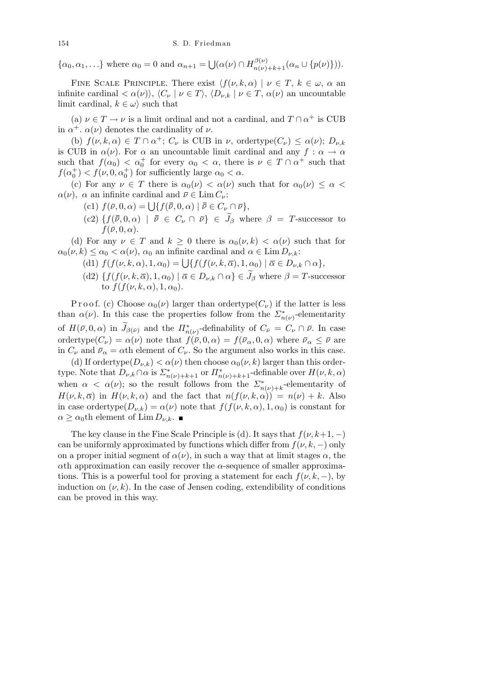$\{\alpha_0, \alpha_1, \ldots\}$  where  $\alpha_0 = 0$  and  $\alpha_{n+1} =$ S  $(\alpha(\nu) \cap H_{n(\nu)+k+1}^{\beta(\nu)}(\alpha_n \cup \{p(\nu)\})).$ 

FINE SCALE PRINCIPLE. There exist  $\langle f(\nu, k, \alpha) | \nu \in T, k \in \omega, \alpha \text{ an}$ infinite cardinal  $\langle \alpha(\nu) \rangle$ ,  $\langle C_{\nu} | \nu \in T \rangle$ ,  $\langle D_{\nu,k} | \nu \in T$ ,  $\alpha(\nu)$  an uncountable limit cardinal,  $k \in \omega$  such that

(a)  $\nu \in T \to \nu$  is a limit ordinal and not a cardinal, and  $T \cap \alpha^+$  is CUB in  $\alpha^+$ .  $\alpha(\nu)$  denotes the cardinality of  $\nu$ .

(b)  $f(\nu, k, \alpha) \in T \cap \alpha^+$ ;  $C_{\nu}$  is CUB in  $\nu$ , ordertype $(C_{\nu}) \leq \alpha(\nu)$ ;  $D_{\nu,k}$ is CUB in  $\alpha(\nu)$ . For  $\alpha$  an uncountable limit cardinal and any  $f : \alpha \to \alpha$ such that  $f(\alpha_0) < \alpha_0^+$  for every  $\alpha_0 < \alpha$ , there is  $\nu \in T \cap \alpha^+$  such that  $f(\alpha_0^+) < f(\nu, 0, \alpha_0^+)$  for sufficiently large  $\alpha_0 < \alpha$ .

(c) For any  $\nu \in T$  there is  $\alpha_0(\nu) < \alpha(\nu)$  such that for  $\alpha_0(\nu) \leq \alpha <$ *α*(*ν*)*, α* an infinite cardinal and  $\bar{\nu} \in \text{Lim } C_{\nu}$ :

- $f(\bar{v}, 0, \alpha) = \bigcup \{ f(\bar{v}, 0, \alpha) \mid \bar{v} \in C_{\nu} \cap \bar{\nu} \},$
- $(c2) \{ f(\bar{\bar{\nu}}, 0, \alpha) \mid \bar{\bar{\nu}} \in C_{\nu} \cap \bar{\nu} \} \in \tilde{J}_{\beta}$  where  $\beta = T$ -successor to  $f(\bar{\nu}, 0, \alpha)$ .

(d) For any  $\nu \in T$  and  $k \geq 0$  there is  $\alpha_0(\nu, k) < \alpha(\nu)$  such that for  $\alpha_0(\nu, k) \leq \alpha_0 < \alpha(\nu)$ ,  $\alpha_0$  an infinite cardinal and  $\alpha \in \text{Lim } D_{\nu,k}$ :

- $f(f(\nu, k, \alpha), 1, \alpha_0) = \bigcup \{ f(f(\nu, k, \overline{\alpha}), 1, \alpha_0) \mid \overline{\alpha} \in D_{\nu, k} \cap \alpha \},$
- (d2)  $\{f(f(\nu, k, \overline{\alpha}), 1, \alpha_0) \mid \overline{\alpha} \in D_{\nu,k} \cap \alpha\} \in \widetilde{J}_{\beta}$  where  $\beta = T$ -successor to  $f(f(\nu, k, \alpha), 1, \alpha_0)$ .

P r o o f. (c) Choose  $\alpha_0(\nu)$  larger than ordertype( $C_{\nu}$ ) if the latter is less than  $\alpha(\nu)$ . In this case the properties follow from the  $\sum_{n(\nu)}^*$ -elementarity of  $H(\bar{\nu}, 0, \alpha)$  in  $\widetilde{J}_{\beta(\bar{\nu})}$  and the  $\overline{H}_{n(\nu)}^*$ -definability of  $C_{\bar{\nu}} = C_{\nu} \cap \bar{\nu}$ . In case ordertype $(C_{\nu}) = \alpha(\nu)$  note that  $f(\bar{\nu}, 0, \alpha) = f(\bar{\nu}_{\alpha}, 0, \alpha)$  where  $\bar{\nu}_{\alpha} \leq \bar{\nu}$  are in  $C_{\nu}$  and  $\bar{\nu}_{\alpha} = \alpha$ th element of  $C_{\nu}$ . So the argument also works in this case.

(d) If ordertype $(D_{\nu,k}) < \alpha(\nu)$  then choose  $\alpha_0(\nu, k)$  larger than this ordertype. Note that  $D_{\nu,k} \cap \alpha$  is  $\sum_{n(\nu)+k+1}^*$  or  $\prod_{n(\nu)+k+1}^*$ -definable over  $H(\nu,k,\alpha)$ when  $\alpha < \alpha(\nu)$ ; so the result follows from the  $\sum_{n(\nu)+k}^*$ -elementarity of *H*(*ν, k,*  $\overline{\alpha}$ *) in <i>H*(*ν, k,*  $\alpha$ ) and the fact that  $n(f(\nu, k, \alpha)) = n(\nu) + k$ . Also in case ordertype( $D_{\nu,k}$ ) =  $\alpha(\nu)$  note that  $f(f(\nu,k,\alpha),1,\alpha_0)$  is constant for  $\alpha \geq \alpha_0$ th element of Lim  $D_{\nu,k}$ .

The key clause in the Fine Scale Principle is (d). It says that  $f(\nu, k+1, -)$ can be uniformly approximated by functions which differ from  $f(\nu, k, -)$  only on a proper initial segment of  $\alpha(\nu)$ , in such a way that at limit stages  $\alpha$ , the *α*th approximation can easily recover the *α*-sequence of smaller approximations. This is a powerful tool for proving a statement for each  $f(\nu, k, -)$ , by induction on  $(\nu, k)$ . In the case of Jensen coding, extendibility of conditions can be proved in this way.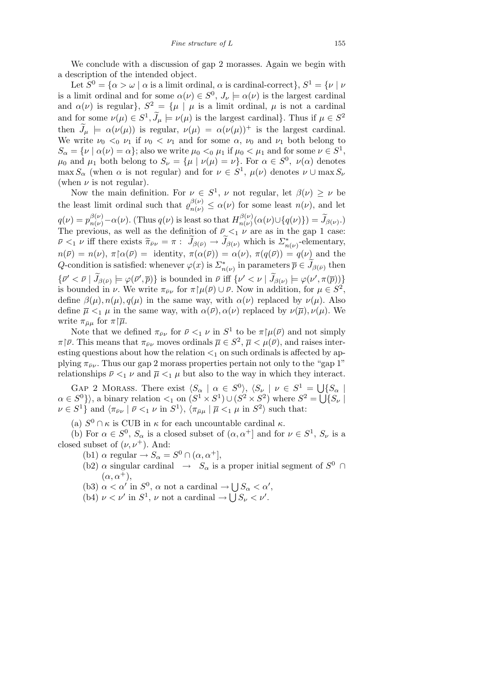We conclude with a discussion of gap 2 morasses. Again we begin with a description of the intended object.

Let  $S^0 = {\alpha > \omega \mid \alpha \text{ is a limit ordinal.}}$  *(a)* is cardinal-correct  $}$ ,  $S^1 = {\nu \mid \nu \mid \alpha \text{ is a limit ordinal.}}$ is a limit ordinal and for some  $\alpha(\nu) \in S^0$ ,  $J_{\nu} \models \alpha(\nu)$  is the largest cardinal and  $\alpha(\nu)$  is regular},  $S^2 = {\mu | \mu}$  is a limit ordinal,  $\mu$  is not a cardinal and for some  $\nu(\mu) \in S^1$ ,  $\widetilde{J}_\mu \models \nu(\mu)$  is the largest cardinal}. Thus if  $\mu \in S^2$ then  $\widetilde{J}_{\mu} \models \alpha(\nu(\mu))$  is regular,  $\nu(\mu) = \alpha(\nu(\mu))^+$  is the largest cardinal. We write  $\nu_0 <0 \nu_1$  if  $\nu_0 < \nu_1$  and for some  $\alpha$ ,  $\nu_0$  and  $\nu_1$  both belong to  $S_{\alpha} = \{ \nu \mid \alpha(\nu) = \alpha \};$  also we write  $\mu_0 < 0$   $\mu_1$  if  $\mu_0 < \mu_1$  and for some  $\nu \in S^1$ ,  $\mu_0$  and  $\mu_1$  both belong to  $S_\nu = {\mu | \nu(\mu) = \nu}$ . For  $\alpha \in S^0$ ,  $\nu(\alpha)$  denotes  $\max S_\alpha$  (when  $\alpha$  is not regular) and for  $\nu \in S^1$ ,  $\mu(\nu)$  denotes  $\nu \cup \max S_\nu$ (when  $\nu$  is not regular).

Now the main definition. For  $\nu \in S^1$ ,  $\nu$  not regular, let  $\beta(\nu) \geq \nu$  be the least limit ordinal such that  $\varrho_{n(\nu)}^{\beta(\nu)} \leq \alpha(\nu)$  for some least  $n(\nu)$ , and let  $q(\nu) = p_{n(\nu)}^{\beta(\nu)} - \alpha(\nu)$ . (Thus  $q(\nu)$  is least so that  $H_{n(\nu)}^{\beta(\nu)}$  $\widetilde{J}_{n(\nu)}(\alpha(\nu)\cup\{q(\nu)\})=\widetilde{J}_{\beta(\nu)}$ .) The previous, as well as the definition of  $\bar{\nu} \leq_1 \nu$  are as in the gap 1 case:  $\bar{\nu}$   $\langle \bar{\nu} \rangle = \bar{\nu}$  *iff there exists*  $\tilde{\pi}_{\bar{\nu}\nu} = \pi$  :  $\tilde{J}_{\beta(\bar{\nu})} \to \tilde{J}_{\beta(\nu)}$  which is  $\sum_{n(\nu)}^*$ -elementary,  $n(\bar{\nu}) = n(\nu), \pi(\alpha(\bar{\nu})) = \text{identity}, \pi(\alpha(\bar{\nu})) = \alpha(\nu), \pi(q(\bar{\nu})) = q(\nu)$  and the  $Q$ -condition is satisfied: whenever  $\varphi(x)$  is  $\sum_{n(\nu)}^*$  in parameters  $\overline{p} \in \widetilde{J}_{\beta(\overline{\nu})}$  then  $\{\bar{\nu}' < \bar{\nu} \mid \widetilde{J}_{\beta(\bar{\nu})} \models \varphi(\bar{\nu}', \bar{p})\}$  is bounded in  $\bar{\nu}$  iff  $\{\nu' < \nu \mid \widetilde{J}_{\beta(\nu)} \models \varphi(\nu', \pi(\bar{p}))\}$ is bounded in *ν*. We write  $\pi_{\bar{\nu}\nu}$  for  $\pi[\mu(\bar{\nu}) \cup \bar{\nu}]$ . Now in addition, for  $\mu \in S^2$ , define  $\beta(\mu)$ ,  $n(\mu)$ ,  $q(\mu)$  in the same way, with  $\alpha(\nu)$  replaced by  $\nu(\mu)$ . Also define  $\bar{\mu} <_1 \mu$  in the same way, with  $\alpha(\bar{\nu}), \alpha(\nu)$  replaced by  $\nu(\bar{\mu}), \nu(\mu)$ . We write  $\pi_{\bar{\mu}\mu}$  for  $\pi/\bar{\mu}$ .

Note that we defined  $\pi_{\bar{\nu}\nu}$  for  $\bar{\nu} <_1 \nu$  in  $S^1$  to be  $\pi(\mu(\bar{\nu}))$  and not simply  $\pi | \bar{\nu}$ . This means that  $\pi_{\bar{\nu}\nu}$  moves ordinals  $\bar{\mu} \in S^2$ ,  $\bar{\mu} < \mu(\bar{\nu})$ , and raises interesting questions about how the relation  $\lt_1$  on such ordinals is affected by applying  $\pi_{\bar{\nu}\nu}$ . Thus our gap 2 morass properties pertain not only to the "gap 1" relationships  $\bar{\nu} <_{1} \nu$  and  $\bar{\mu} <_{1} \mu$  but also to the way in which they interact.

GAP 2 MORASS. There exist  $\langle S_\alpha | \alpha \in S^0 \rangle$ ,  $\langle S_\nu | \nu \in S^1 = \bigcup$ *{S<sup>α</sup> |*  $\alpha \in S^0$ , a binary relation  $\langle A \rangle$  on  $(S^1 \times S^1) \cup (S^2 \times S^2)$  where  $S^2 = \bigcup_{i=1}^n S^i$ *{S<sup>ν</sup> |*  $\nu \in S^1$  and  $\langle \pi_{\bar{\nu}\nu} \mid \bar{\nu} \langle 1 \nu \text{ in } S^1 \rangle, \langle \pi_{\bar{\mu}\mu} \mid \bar{\mu} \langle 1 \mu \text{ in } S^2 \rangle$  such that:

(a)  $S^0 \cap \kappa$  is CUB in  $\kappa$  for each uncountable cardinal  $\kappa$ .

(b) For  $\alpha \in S^0$ ,  $S_\alpha$  is a closed subset of  $(\alpha, \alpha^+]$  and for  $\nu \in S^1$ ,  $S_\nu$  is a closed subset of  $(\nu, \nu^+)$ . And:

- (b1)  $\alpha$  regular  $\rightarrow S_{\alpha} = S^0 \cap (\alpha, \alpha^+],$
- (b2)  $\alpha$  singular cardinal  $\rightarrow$   $S_{\alpha}$  is a proper initial segment of  $S^0$  $(\alpha, \alpha^+),$
- (b3)  $\alpha < \alpha'$  in  $S^0$ ,  $\alpha$  not a cardinal  $\rightarrow$  $\bigcup_{\alpha} S_{\alpha} < \alpha',$
- (b4)  $\nu < \nu'$  in  $S^1$ ,  $\nu$  not a cardinal  $\rightarrow \bigcup S_{\nu} < \nu'$ .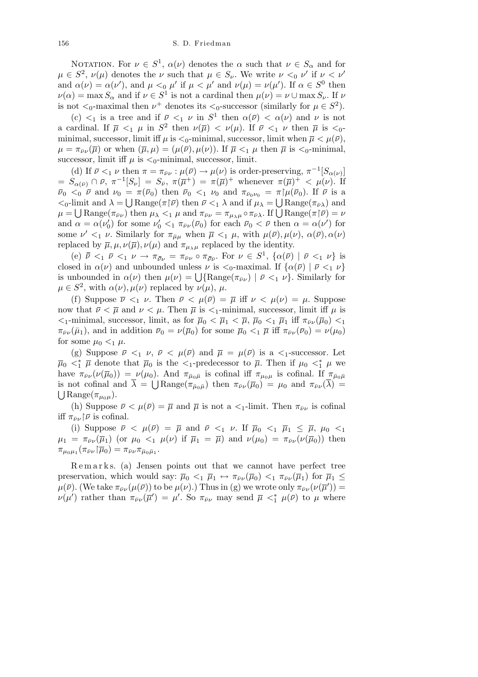NOTATION. For  $\nu \in S^1$ ,  $\alpha(\nu)$  denotes the  $\alpha$  such that  $\nu \in S_\alpha$  and for  $\mu \in S^2$ ,  $\nu(\mu)$  denotes the *ν* such that  $\mu \in S_\nu$ . We write  $\nu <sub>0</sub> \nu'$  if  $\nu <sub>\nu'</sub>$ and  $\alpha(\nu) = \alpha(\nu')$ , and  $\mu <_{0} \mu'$  if  $\mu < \mu'$  and  $\nu(\mu) = \nu(\mu')$ . If  $\alpha \in S^0$  then  $\nu(\alpha) = \max S_\alpha$  and if  $\nu \in S^1$  is not a cardinal then  $\mu(\nu) = \nu \cup \max S_\nu$ . If  $\nu$ is not  $\lt_0$ -maximal then  $\nu^+$  denotes its  $\lt_0$ -successor (similarly for  $\mu \in S^2$ ).

(c)  $\lt_1$  is a tree and if  $\bar{\nu} \lt_1 \nu$  in  $S^1$  then  $\alpha(\bar{\nu}) \lt \alpha(\nu)$  and  $\nu$  is not a cardinal. If  $\overline{\mu} \leq_1 \mu$  in  $S^2$  then  $\nu(\overline{\mu}) \leq \nu(\mu)$ . If  $\overline{\nu} \leq_1 \nu$  then  $\overline{\mu}$  is  $\leq_0$ minimal, successor, limit iff  $\mu$  is  $\lt_0$ -minimal, successor, limit when  $\bar{\mu} \lt \mu(\bar{\nu})$ ,  $\mu = \pi_{\bar{\nu}\nu}(\bar{\mu})$  or when  $(\bar{\mu}, \mu) = (\mu(\bar{\nu}), \mu(\nu))$ . If  $\bar{\mu} \leq_1 \mu$  then  $\bar{\mu}$  is  $\leq_0$ -minimal, successor, limit iff  $\mu$  is  $\lt_0$ -minimal, successor, limit.

(d) If  $\bar{\nu} <_1 \nu$  then  $\pi = \pi_{\bar{\nu}\nu} : \mu(\bar{\nu}) \to \mu(\nu)$  is order-preserving,  $\pi^{-1}[S_{\alpha(\nu)}]$  $S_{\alpha(\bar{\nu})} \cap \bar{\nu}, \ \pi^{-1}[S_{\nu}] = S_{\bar{\nu}}, \ \pi(\bar{\mu}^+) = \pi(\bar{\mu})^+$  whenever  $\pi(\bar{\mu})^+ < \mu(\nu)$ . If  $\bar{\nu}_0 \leq_0 \bar{\nu}$  and  $\nu_0 = \pi(\bar{\nu}_0)$  then  $\bar{\nu}_0 \leq_1 \nu_0$  and  $\pi_{\bar{\nu}_0 \nu_0} = \pi | \mu(\bar{\nu}_0)$ . If  $\bar{\nu}$  is a *<*0-limit and *λ* = Range(*π*¹*ν*) then *ν <*<sup>1</sup> *λ* and if *µ<sup>λ</sup>* = Range(*πνλ*¯ ) and S  $\mu = \bigcup \text{Range}(\pi_{\bar{\nu}\nu})$  then *μ*<sub>λ</sub>  $\lt_1$  *λ* and *π*<sub>*μ*λ</sub> =  $\bigcup$  Range( $\pi_{\bar{\nu}\lambda}$ ) and  $\mu = \bigcup \text{Range}(\pi_{\bar{\nu}\nu})$  then  $\mu_{\lambda} \lt_1 \mu$  and  $\pi_{\bar{\nu}\nu} = \pi_{\mu_{\lambda}\mu} \circ \pi_{\bar{\nu}\lambda}$ . If  $\bigcup$  Range( $\pi|\bar{\nu}\rangle = \nu$ and  $\alpha = \alpha(\nu'_0)$  for some  $\nu'_0 <_1 \pi_{\bar{\nu}\nu}(\bar{\nu}_0)$  for each  $\bar{\nu}_0 < \bar{\nu}$  then  $\alpha = \alpha(\nu')$  for some  $\nu' <_1 \nu$ . Similarly for  $\pi_{\bar{\mu}\mu}$  when  $\bar{\mu} <_1 \mu$ , with  $\mu(\bar{\nu}), \mu(\nu), \alpha(\bar{\nu}), \alpha(\nu)$ replaced by  $\overline{\mu}$ ,  $\mu$ ,  $\nu(\overline{\mu})$ ,  $\nu(\mu)$  and  $\pi_{\mu_{\lambda}\mu}$  replaced by the identity.

(e)  $\bar{\bar{\nu}} \leq_1 \bar{\nu} \leq_1 \nu \to \pi_{\bar{\nu}\nu} = \pi_{\bar{\nu}\nu} \circ \pi_{\bar{\nu}\bar{\nu}}$ . For  $\nu \in S^1$ ,  $\{\alpha(\bar{\nu}) \mid \bar{\nu} \leq_1 \nu\}$  is closed in  $\alpha(\nu)$  and unbounded unless  $\nu$  is  $\lt_0$ -maximal. If  $\{\alpha(\bar{\nu}) \mid \bar{\nu} \lt_1 \nu\}$  $\alpha(\nu)$  and unbounded unless  $\nu$  is  $\langle \circ \rangle$ -maximal. If  $\{\alpha(\nu) \mid \nu \leq 1 \nu\}$  is unbounded in  $\alpha(\nu)$  then  $\mu(\nu) = \bigcup \{\text{Range}(\pi_{\bar{\nu}\nu}) \mid \bar{\nu} \leq_1 \nu\}$ . Similarly for  $\mu \in S^2$ , with  $\alpha(\nu), \mu(\nu)$  replaced by  $\nu(\mu), \mu$ .

(f) Suppose  $\overline{\nu} <_1 \nu$ . Then  $\overline{\nu} < \mu(\overline{\nu}) = \overline{\mu}$  iff  $\nu < \mu(\nu) = \mu$ . Suppose now that  $\bar{\nu} < \bar{\mu}$  and  $\nu < \mu$ . Then  $\bar{\mu}$  is  $\lt_1$ -minimal, successor, limit iff  $\mu$  is  $\langle \langle \cdot | \cdot |$ -minimal, successor, limit, as for  $\bar{\mu}_0 \langle \bar{\mu}_1 | \langle \bar{\mu}_0 | \cdot | \bar{\mu}_1 | \cdot | \bar{f} | \pi_{\bar{\nu}\nu}(\bar{\mu}_0) \rangle \langle \cdot | \cdot |$  $\pi_{\bar{\nu}\nu}(\bar{\mu}_1)$ , and in addition  $\bar{\nu}_0 = \nu(\bar{\mu}_0)$  for some  $\bar{\mu}_0 <_1 \bar{\mu}$  iff  $\pi_{\bar{\nu}\nu}(\bar{\nu}_0) = \nu(\mu_0)$ for some  $\mu_0 <_1 \mu$ .

(g) Suppose  $\bar{\nu} <_1 \nu$ ,  $\bar{\nu} < \mu(\bar{\nu})$  and  $\bar{\mu} = \mu(\bar{\nu})$  is a  $\leq_1$ -successor. Let  $\bar{\mu}_0 \leq \mu$  denote that  $\bar{\mu}_0$  is the  $\leq_1$ -predecessor to  $\bar{\mu}$ . Then if  $\mu_0 \leq \mu$  we have  $\pi_{\bar{\nu}\nu}(\nu(\bar{\mu}_0)) = \nu(\mu_0)$ . And  $\pi_{\bar{\mu}_0\bar{\mu}}$  is cofinal iff  $\pi_{\mu_0\mu}$  is cofinal. If  $\pi_{\bar{\mu}_0\bar{\mu}}$ is not cofinal and  $\overline{\lambda} = \bigcup \text{Range}(\pi_{\overline{\mu}_0\overline{\mu}})$  then  $\pi_{\overline{\nu}\nu}(\overline{\mu}_0) = \mu_0$  and  $\pi_{\overline{\nu}\nu}(\overline{\lambda}) =$  $\bigcup$  Range( $\pi_{\mu_0\mu}$ ).

(h) Suppose  $\bar{\nu} < \mu(\bar{\nu}) = \bar{\mu}$  and  $\bar{\mu}$  is not a  $\langle \bar{\nu} \rangle$ -limit. Then  $\pi_{\bar{\nu}\nu}$  is cofinal iff  $\pi_{\bar{\nu}\nu}$   $|\bar{\nu}|$  is cofinal.

(i) Suppose  $\bar{\nu} < \mu(\bar{\nu}) = \bar{\mu}$  and  $\bar{\nu} <_1 \nu$ . If  $\bar{\mu}_0 <_1 \bar{\mu}_1 \leq \bar{\mu}$ ,  $\mu_0 <_1$  $\mu_1 = \pi_{\bar{\nu}\nu}(\bar{\mu}_1)$  (or  $\mu_0 <_1 \mu(\nu)$  if  $\bar{\mu}_1 = \bar{\mu}$ ) and  $\nu(\mu_0) = \pi_{\bar{\nu}\nu}(\nu(\bar{\mu}_0))$  then  $\pi_{\mu_0\mu_1}(\pi_{\bar{\nu}\nu}\!\restriction\!\overline{\mu}_0) = \pi_{\bar{\nu}\nu}\pi_{\bar{\mu}_0\bar{\mu}_1}.$ 

Remarks. (a) Jensen points out that we cannot have perfect tree preservation, which would say:  $\bar{\mu}_0 <_1 \bar{\mu}_1 \leftrightarrow \pi_{\bar{\nu}\nu}(\bar{\mu}_0) <_1 \pi_{\bar{\nu}\nu}(\bar{\mu}_1)$  for  $\bar{\mu}_1 \leq$  $\mu(\bar{\nu})$ . (We take  $\pi_{\bar{\nu}\nu}(\mu(\bar{\nu}))$  to be  $\mu(\nu)$ .) Thus in (g) we wrote only  $\pi_{\bar{\nu}\nu}(\nu(\bar{\mu}'))$  $\nu(\mu')$  rather than  $\pi_{\bar{\nu}\nu}(\bar{\mu}') = \mu'$ . So  $\pi_{\bar{\nu}\nu}$  may send  $\bar{\mu} \lt^*_{1} \mu(\bar{\nu})$  to  $\mu$  where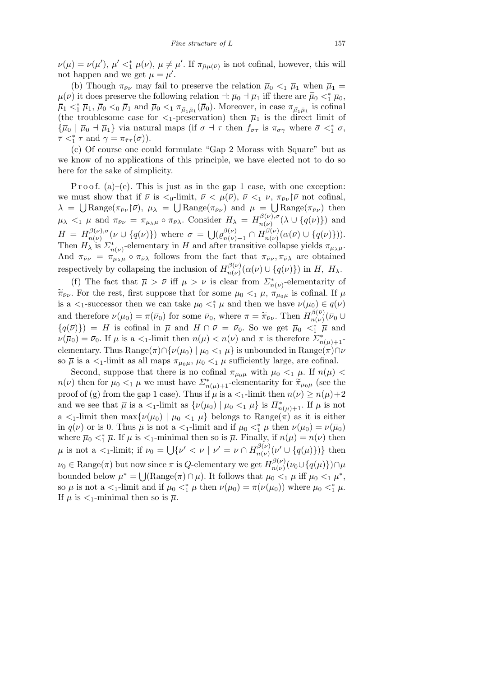$\nu(\mu) = \nu(\mu'), \mu' <^*_{1} \mu(\nu), \mu \neq \mu'.$  If  $\pi_{\bar{\mu}\mu(\bar{\nu})}$  is not cofinal, however, this will not happen and we get  $\mu = \mu'$ .

(b) Though  $\pi_{\bar{\nu}\nu}$  may fail to preserve the relation  $\bar{\mu}_0 <_1 \bar{\mu}_1$  when  $\bar{\mu}_1 =$  $\mu(\bar{\nu})$  it does preserve the following relation  $\vec{\mu}$  *i*  $\bar{\mu}_0$  *a*<sup> $\pi$ </sup><sub>1</sub> iff there are  $\bar{\bar{\mu}}_0 < \frac{1}{\bar{\mu}}$ <sub>0</sub>,  $\bar{\bar{\mu}}_1 <^*_{1} \bar{\mu}_1$ ,  $\bar{\bar{\mu}}_0 <^{}_0 \bar{\bar{\mu}}_1$  and  $\bar{\mu}_0 <^{}_1 \pi_{\bar{\mu}_1 \bar{\mu}_1}(\bar{\bar{\mu}}_0)$ . Moreover, in case  $\pi_{\bar{\mu}_1 \bar{\mu}_1}$  is cofinal (the troublesome case for  $\lt_1$ -preservation) then  $\bar{\mu}_1$  is the direct limit of  $\{\overline{\mu}_0 \mid \overline{\mu}_0 \to \overline{\mu}_1\}$  via natural maps (if  $\sigma \to \tau$  then  $f_{\sigma\tau}$  is  $\pi_{\sigma\gamma}$  where  $\overline{\sigma} \lt^*_{1} \sigma$ ,  $\overline{\tau}$  <  $*$ <sup>*τ*</sup></sup>  $\tau$  and  $\gamma = \pi_{\overline{\tau}\tau}(\overline{\sigma})$ ).

(c) Of course one could formulate "Gap 2 Morass with Square" but as we know of no applications of this principle, we have elected not to do so here for the sake of simplicity.

P r o o f. (a)–(e). This is just as in the gap 1 case, with one exception: we must show that if  $\bar{\nu}$  is  $\langle 0, \text{limit}, \bar{\nu} \rangle \langle \mu(\bar{\nu}), \bar{\nu} \rangle \langle 1, \nu, \pi_{\bar{\nu}\nu} | \bar{\nu} \rangle$  not cofinal,  $\lambda = \bigcup \text{Range}(\pi_{\bar{\nu}\nu}|\bar{\nu})$ ,  $\mu_{\lambda} = \bigcup \text{Range}(\pi_{\bar{\nu}\nu})$  and  $\mu = \bigcup \text{Range}(\pi_{\bar{\nu}\nu})$  then  $\mu_{\lambda} <_{1} \mu$  and  $\pi_{\bar{\nu}\nu} = \pi_{\mu_{\lambda}\mu} \circ \pi_{\bar{\nu}\lambda}$ . Consider  $H_{\lambda} = H_{n(\nu)}^{\beta(\nu), \sigma}$  $\binom{p(\nu), \sigma}{n(\nu)}(\lambda \cup \{q(\nu)\})$  and  $H = H^{\beta(\nu),\sigma}_{n(\nu)}$  $\sigma_{n(\nu)}^{\beta(\nu),\sigma}(\nu \cup \{q(\nu)\})$  where  $\sigma =$ S  $\left(\varrho_{n(\nu)}^{\beta(\nu)}\right)$ *n*(*ν*)−1 ∩ *H*<sup> $β(ν)$ </sup><sub>*n*(*ν*)</sub>  $\frac{d^{(p)}(v)}{n(v)}(\alpha(\bar{v}) \cup \{q(v)\}).$ Then  $H_{\lambda}$  is  $\Sigma_{n(\nu)}^*$ -elementary in *H* and after transitive collapse yields  $\pi_{\mu_{\lambda}\mu}$ . And  $\pi_{\bar{\nu}\nu} = \pi_{\mu\lambda\mu} \circ \pi_{\bar{\nu}\lambda}$  follows from the fact that  $\pi_{\bar{\nu}\nu}, \pi_{\bar{\nu}\lambda}$  are obtained respectively by collapsing the inclusion of  $H_{n(\nu)}^{\beta(\nu)}$  $\binom{\rho(\nu)}{n(\nu)}(\alpha(\bar{\nu})\cup\{q(\nu)\})$  in *H*, *H*<sub> $\lambda$ </sub>.

(f) The fact that  $\bar{\mu} > \bar{\nu}$  iff  $\mu > \nu$  is clear from  $\sum_{n(\nu)}^*$ -elementarity of  $\tilde{\pi}_{\bar{\nu}\nu}$ . For the rest, first suppose that for some  $\mu_0 <_1 \mu$ ,  $\pi_{\mu_0\mu}$  is cofinal. If  $\mu$ is a  $\lt_1$ -successor then we can take  $\mu_0 \lt_1^* \mu$  and then we have  $\nu(\mu_0) \in q(\nu)$ and therefore  $\nu(\mu_0) = \pi(\bar{\nu}_0)$  for some  $\bar{\nu}_0$ , where  $\pi = \tilde{\pi}_{\bar{\nu}\nu}$ . Then  $H_{n(\nu)}^{\beta(\bar{\nu})}$  $\frac{\partial^2(\nu)}{\partial n(\nu)}(\bar{\nu}_0 \cup$  ${q(\bar{\nu})}$  = *H* is cofinal in  $\bar{\mu}$  and  $H \cap \bar{\nu} = \bar{\nu}_0$ . So we get  $\bar{\mu}_0 <\frac{\bar{\nu}}{1}$  *µ* and  $\nu(\overline{\mu}_0) = \overline{\nu}_0$ . If  $\mu$  is a  $\lt_1$ -limit then  $n(\mu) < n(\nu)$  and  $\pi$  is therefore  $\sum_{n(\mu)+1}^*$ elementary. Thus  $\text{Range}(\pi) \cap \{ \nu(\mu_0) \mid \mu_0 <_1 \mu \}$  is unbounded in  $\text{Range}(\pi) \cap \nu$ so  $\overline{\mu}$  is a  $\lt_1$ -limit as all maps  $\pi_{\mu_0\mu}$ ,  $\mu_0 \lt_1 \mu$  sufficiently large, are cofinal.

Second, suppose that there is no cofinal  $\pi_{\mu_0\mu}$  with  $\mu_0 <_1 \mu$ . If  $n(\mu) <$ *n*(*v*) then for  $\mu_0 <_1 \mu$  we must have  $\sum_{n(\mu)+1}^*$ -elementarity for  $\tilde{\pi}_{\mu_0\mu}$  (see the proof of (g) from the gap 1 case). Thus if  $\mu$  is a  $\lt_1$ -limit then  $n(\nu) \geq n(\mu)+2$ and we see that  $\bar{\mu}$  is a  $\lt_1$ -limit as  $\{\nu(\mu_0) \mid \mu_0 \lt_1 \mu\}$  is  $\Pi^*_{n(\mu)+1}$ . If  $\mu$  is not a  $\lt_{1}$ -limit then max $\{\nu(\mu_0) \mid \mu_0 \lt_{1} \mu\}$  belongs to Range( $\pi$ ) as it is either in  $q(\nu)$  or is 0. Thus  $\overline{\mu}$  is not a  $\langle 1$ -limit and if  $\mu_0 \langle \xi | \mu \rangle$  then  $\nu(\mu_0) = \nu(\overline{\mu}_0)$ where  $\bar{\mu}_0 <^*_{1} \bar{\mu}$ . If  $\mu$  is  $\lt_1$ -minimal then so is  $\bar{\mu}$ . Finally, if  $n(\mu) = n(\nu)$  then  $\mu$  is not a  $\lt_1$ -limit; if  $\nu_0 =$ …<br>. .  $\{v' < v \mid v' = v \cap H_{n(u)}^{\beta(v)}\}$  $\{g(\nu)\nu(\nu')\cup\{q(\mu)\}\}\$  then  $\nu_0 \in \text{Range}(\pi)$  but now since  $\pi$  is *Q*-elementary we get  $H_{n(\nu)}^{\beta(\nu)}$ w since  $\pi$  is Q-elementary we get  $H_{n(\nu)}^{\rho(\nu)}(\nu_0 \cup \{q(\mu)\}) \cap \mu$ bounded below  $\mu^* = \bigcup (\text{Range}(\pi) \cap \mu)$ . It follows that  $\mu_0 \leq_1 \mu$  iff  $\mu_0 \leq_1 \mu^*$ , so  $\bar{\mu}$  is not a  $\lt_1$ -limit and if  $\mu_0 \lt_1^* \mu$  then  $\nu(\mu_0) = \pi(\nu(\bar{\mu}_0))$  where  $\bar{\mu}_0 \lt_1^* \bar{\mu}$ . If  $\mu$  is  $\lt_1$ -minimal then so is  $\overline{\mu}$ .